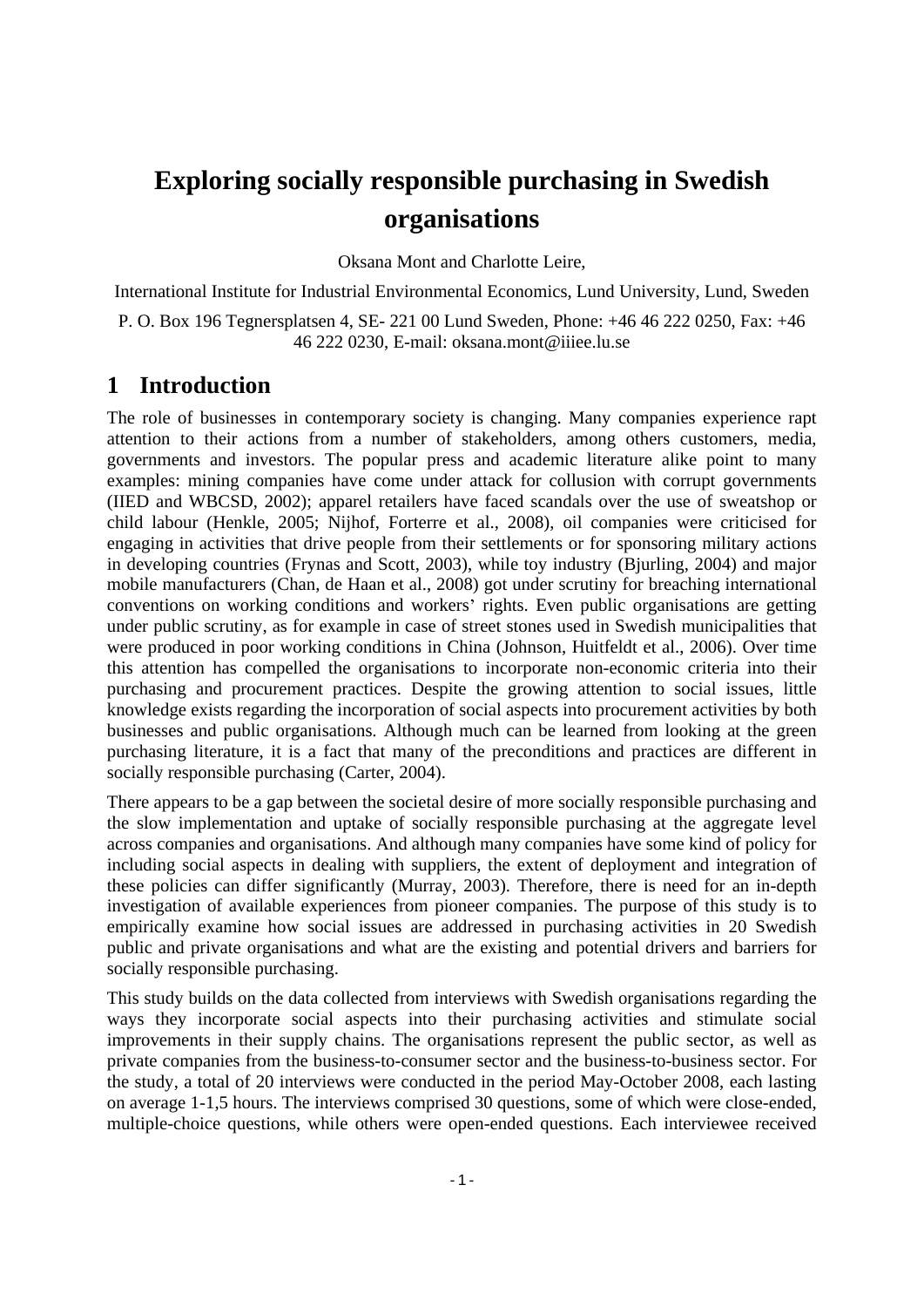# **organisations**

Oksana Mont and Charlotte Leire,

International Institute for Industrial Environmental Economics, Lund University, Lund, Sweden

P. O. Box 196 Tegnersplatsen 4, SE- 221 00 Lund Sweden, Phone: +46 46 222 0250, Fax: +46 46 222 0230, E-mail: oksana.mont@iiiee.lu.se

## **1 Introduction**

**Exploring socially responsible purchasing in Swedish organisations**<br> **Crigarizations**<br> **Crigarizations**<br> **Crigarizations**<br> **Crigarizations**<br> **Crigarizations**<br> **Exploring a Moreover, Lead Moreover, Lead Moreover, Lead Mor** The role of businesses in contemporary society is changing. Many companies experience rapt attention to their actions from a number of stakeholders, among others customers, media, governments and investors. The popular press and academic literature alike point to many examples: mining companies have come under attack for collusion with corrupt governments (IIED and WBCSD, 2002); apparel retailers have faced scandals over the use of sweatshop or child labour (Henkle, 2005; Nijhof, Forterre et al., 2008), oil companies were criticised for engaging in activities that drive people from their settlements or for sponsoring military actions in developing countries (Frynas and Scott, 2003), while toy industry (Bjurling, 2004) and major mobile manufacturers (Chan, de Haan et al., 2008) got under scrutiny for breaching international conventions on working conditions and workers' rights. Even public organisations are getting under public scrutiny, as for example in case of street stones used in Swedish municipalities that were produced in poor working conditions in China (Johnson, Huitfeldt et al., 2006). Over time this attention has compelled the organisations to incorporate non-economic criteria into their purchasing and procurement practices. Despite the growing attention to social issues, little knowledge exists regarding the incorporation of social aspects into procurement activities by both businesses and public organisations. Although much can be learned from looking at the green purchasing literature, it is a fact that many of the preconditions and practices are different in socially responsible purchasing (Carter, 2004).

There appears to be a gap between the societal desire of more socially responsible purchasing and the slow implementation and uptake of socially responsible purchasing at the aggregate level across companies and organisations. And although many companies have some kind of policy for including social aspects in dealing with suppliers, the extent of deployment and integration of these policies can differ significantly (Murray, 2003). Therefore, there is need for an in-depth investigation of available experiences from pioneer companies. The purpose of this study is to empirically examine how social issues are addressed in purchasing activities in 20 Swedish public and private organisations and what are the existing and potential drivers and barriers for socially responsible purchasing.

This study builds on the data collected from interviews with Swedish organisations regarding the ways they incorporate social aspects into their purchasing activities and stimulate social improvements in their supply chains. The organisations represent the public sector, as well as private companies from the business-to-consumer sector and the business-to-business sector. For the study, a total of 20 interviews were conducted in the period May-October 2008, each lasting on average 1-1,5 hours. The interviews comprised 30 questions, some of which were close-ended, multiple-choice questions, while others were open-ended questions. Each interviewee received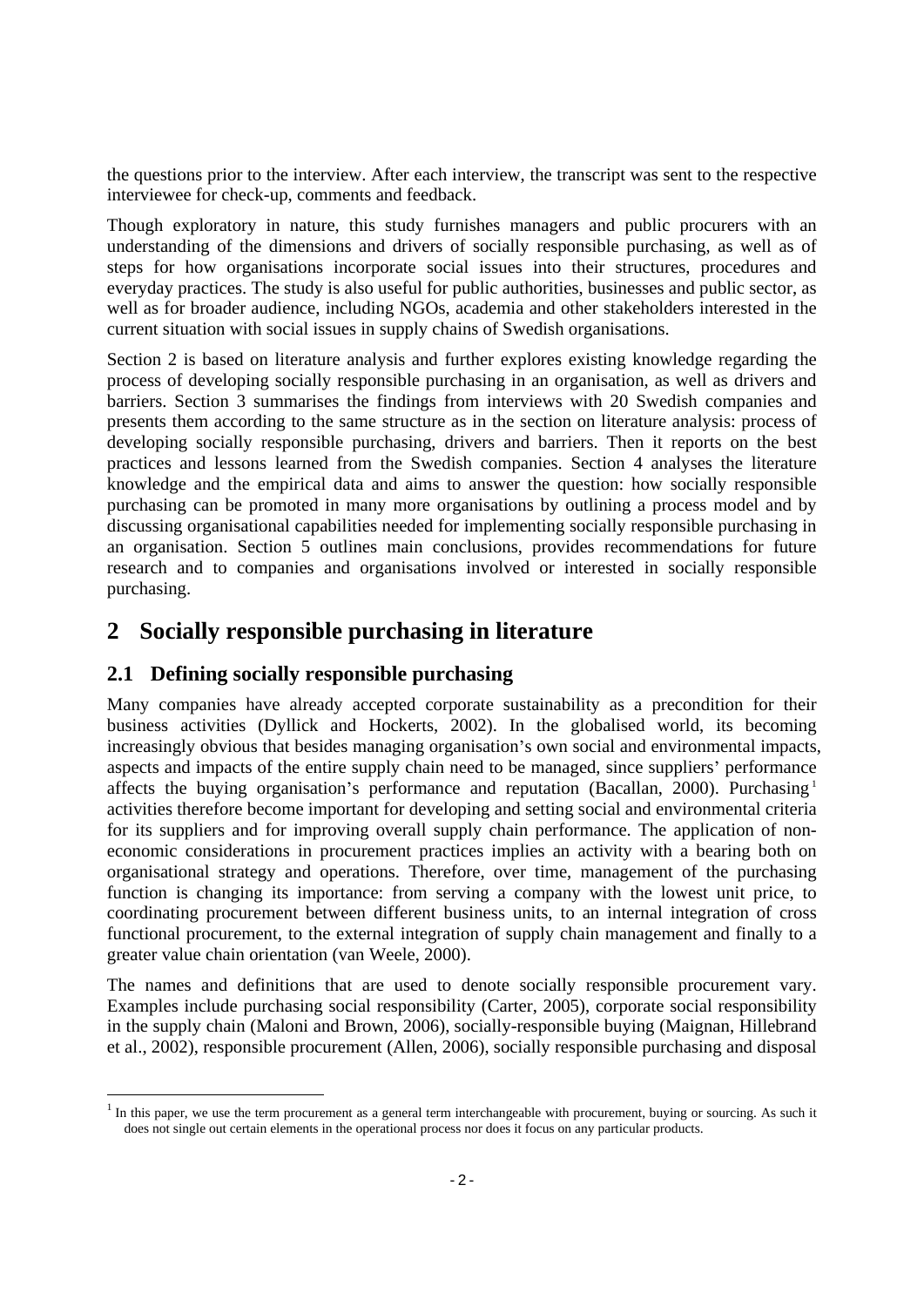the questions prior to the interview. After each interview, the transcript was sent to the respective interviewee for check-up, comments and feedback.

Though exploratory in nature, this study furnishes managers and public procurers with an understanding of the dimensions and drivers of socially responsible purchasing, as well as of steps for how organisations incorporate social issues into their structures, procedures and everyday practices. The study is also useful for public authorities, businesses and public sector, as well as for broader audience, including NGOs, academia and other stakeholders interested in the current situation with social issues in supply chains of Swedish organisations.

Section 2 is based on literature analysis and further explores existing knowledge regarding the process of developing socially responsible purchasing in an organisation, as well as drivers and barriers. Section 3 summarises the findings from interviews with 20 Swedish companies and presents them according to the same structure as in the section on literature analysis: process of developing socially responsible purchasing, drivers and barriers. Then it reports on the best practices and lessons learned from the Swedish companies. Section 4 analyses the literature knowledge and the empirical data and aims to answer the question: how socially responsible purchasing can be promoted in many more organisations by outlining a process model and by discussing organisational capabilities needed for implementing socially responsible purchasing in an organisation. Section 5 outlines main conclusions, provides recommendations for future research and to companies and organisations involved or interested in socially responsible purchasing.

## **2 Socially responsible purchasing in literature**

## **2.1 Defining socially responsible purchasing**

Many companies have already accepted corporate sustainability as a precondition for their business activities (Dyllick and Hockerts, 2002). In the globalised world, its becoming increasingly obvious that besides managing organisation's own social and environmental impacts, aspects and impacts of the entire supply chain need to be managed, since suppliers' performance affects the buying organisation's performance and reputation (Bacallan, 2000). Purchasing<sup>1</sup> 1 activities therefore become important for developing and setting social and environmental criteria for its suppliers and for improving overall supply chain performance. The application of non economic considerations in procurement practices implies an activity with a bearing both on organisational strategy and operations. Therefore, over time, management of the purchasing function is changing its importance: from serving a company with the lowest unit price, to coordinating procurement between different business units, to an internal integration of cross functional procurement, to the external integration of supply chain management and finally to a greater value chain orientation (van Weele, 2000).<br>The names and definitions that are used to denote socially responsible procurement vary.

Examples include purchasing social responsibility (Carter, 2005), corporate social responsibility in the supply chain (Maloni and Brown, 2006), socially-responsible buying (Maignan, Hillebrand et al., 2002), responsible procurement (Allen, 2006), socially responsible purchasing and disposal

<sup>&</sup>lt;sup>1</sup> In this paper, we use the term procurement as a general term interchangeable with procurement, buying or sourcing. As such it does not single out certain elements in the operational process nor does it focus on any particular products.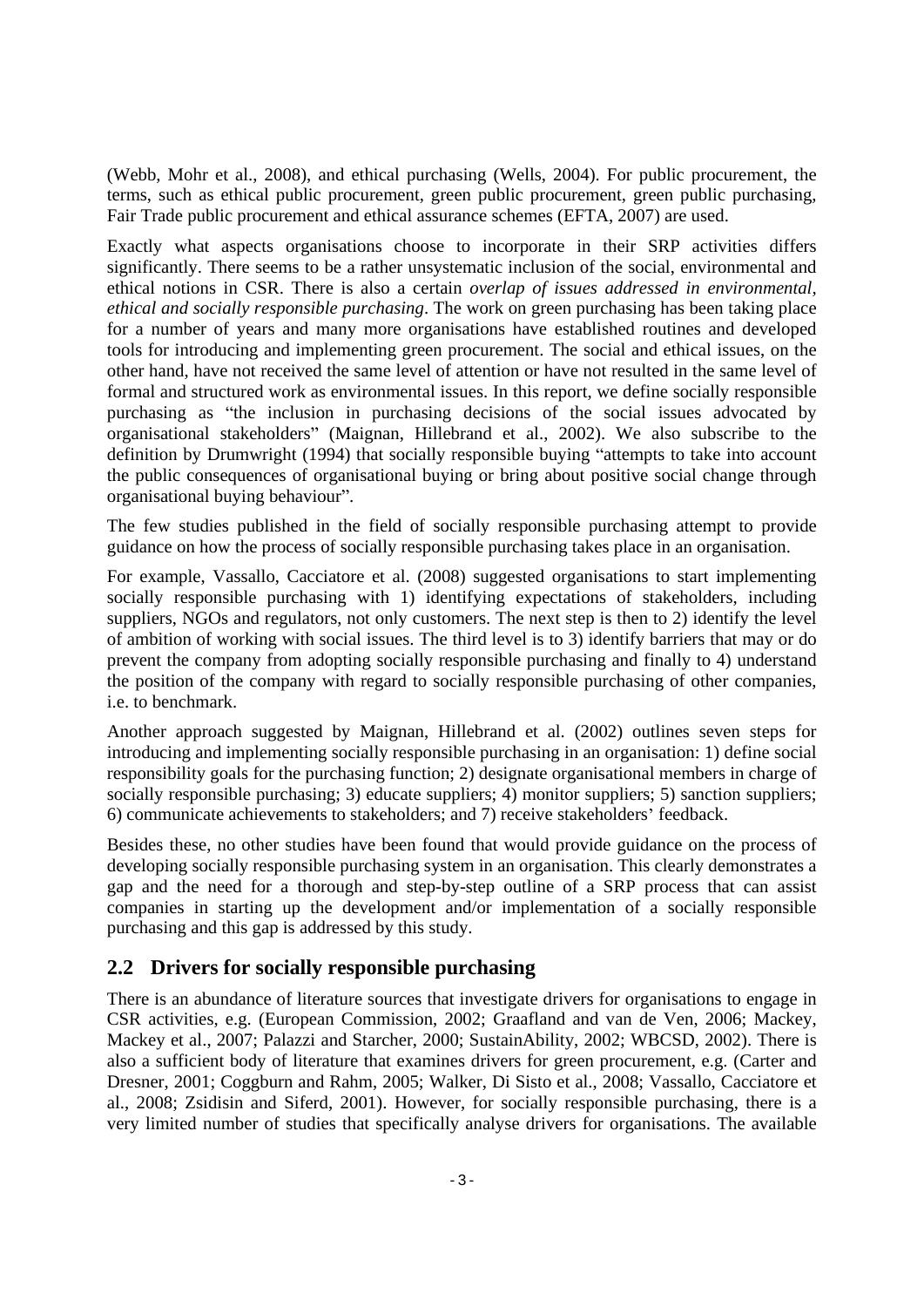(Webb, Mohr et al., 2008), and ethical purchasing (Wells, 2004). For public procurement, the terms, such as ethical public procurement, green public procurement, green public purchasing, Fair Trade public procurement and ethical assurance schemes (EFTA, 2007) are used.

Exactly what aspects organisations choose to incorporate in their SRP activities differs significantly. There seems to be a rather unsystematic inclusion of the social, environmental and ethical notions in CSR. There is also a certain *overlap of issues addressed in environmental, ethical and socially responsible purchasing*. The work on green purchasing has been taking place for a number of years and many more organisations have established routines and developed tools for introducing and implementing green procurement. The social and ethical issues, on the other hand, have not received the same level of attention or have not resulted in the same level of formal and structured work as environmental issues. In this report, we define socially responsible purchasing as "the inclusion in purchasing decisions of the social issues advocated by organisational stakeholders" (Maignan, Hillebrand et al., 2002). We also subscribe to the definition by Drumwright (1994) that socially responsible buying "attempts to take into account the public consequences of organisational buying or bring about positive social change through organisational buying behaviour".

The few studies published in the field of socially responsible purchasing attempt to provide guidance on how the process of socially responsible purchasing takes place in an organisation.

For example, Vassallo, Cacciatore et al. (2008) suggested organisations to start implementing socially responsible purchasing with 1) identifying expectations of stakeholders, including suppliers, NGOs and regulators, not only customers. The next step is then to 2) identify the level of ambition of working with social issues. The third level is to 3) identify barriers that may or do prevent the company from adopting socially responsible purchasing and finally to 4) understand the position of the company with regard to socially responsible purchasing of other companies, i.e. to benchmark.

Another approach suggested by Maignan, Hillebrand et al. (2002) outlines seven steps for introducing and implementing socially responsible purchasing in an organisation: 1) define social responsibility goals for the purchasing function; 2) designate organisational members in charge of socially responsible purchasing; 3) educate suppliers; 4) monitor suppliers; 5) sanction suppliers; 6) communicate achievements to stakeholders; and 7) receive stakeholders feedback.

Besides these, no other studies have been found that would provide guidance on the process of developing socially responsible purchasing system in an organisation. This clearly demonstrates a gap and the need for a thorough and step-by-step outline of a SRP process that can assist companies in starting up the development and/or implementation of a socially responsible purchasing and this gap is addressed by this study.

## **2.2 Drivers for socially responsible purchasing**

There is an abundance of literature sources that investigate drivers for organisations to engage in CSR activities, e.g. (European Commission, 2002; Graafland and van de Ven, 2006; Mackey, Mackey et al., 2007; Palazzi and Starcher, 2000; SustainAbility, 2002; WBCSD, 2002). There is also a sufficient body of literature that examines drivers for green procurement, e.g. (Carter and Dresner, 2001; Coggburn and Rahm, 2005; Walker, Di Sisto et al., 2008; Vassallo, Cacciatore et al., 2008; Zsidisin and Siferd, 2001). However, for socially responsible purchasing, there is a very limited number of studies that specifically analyse drivers for organisations. The available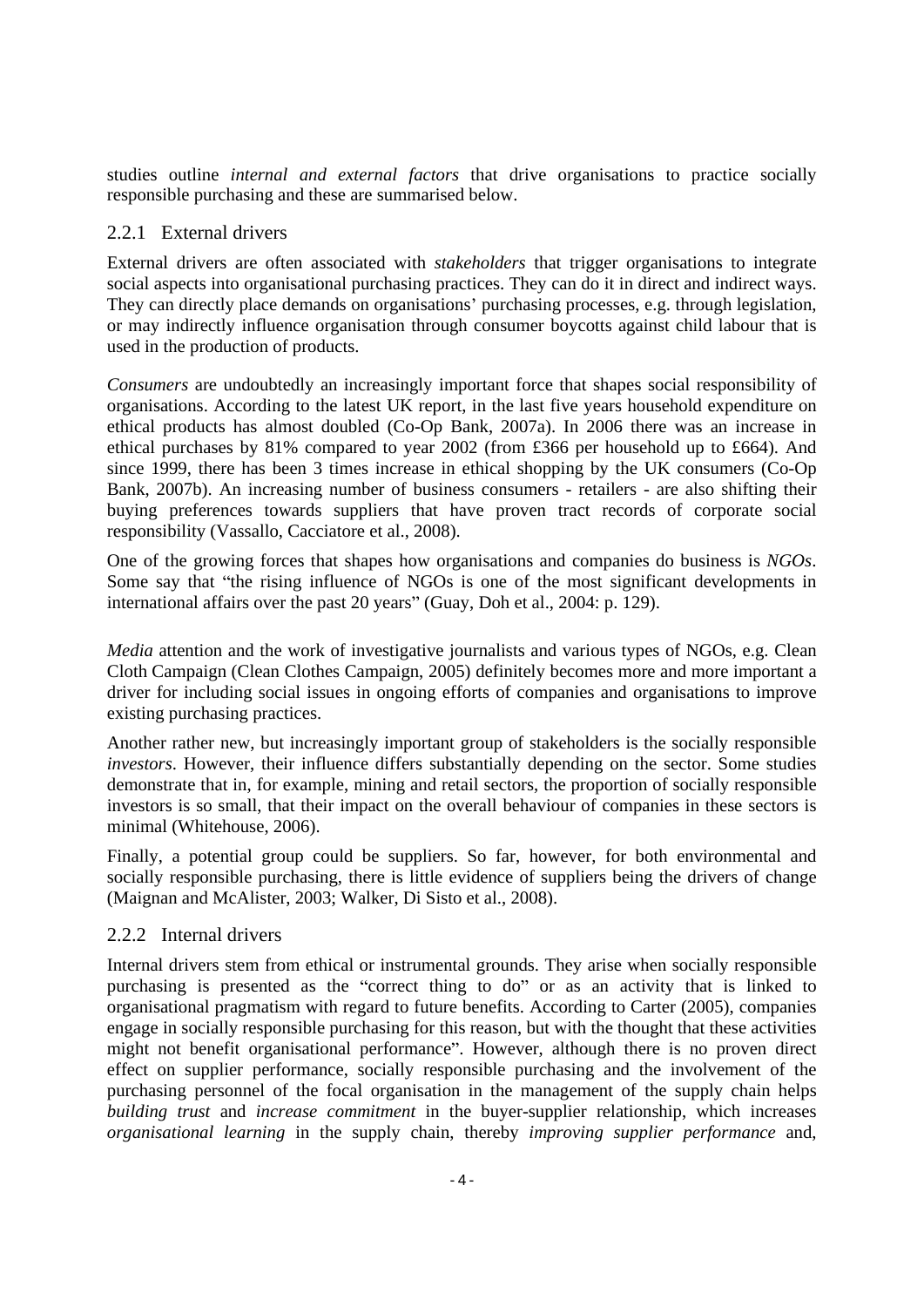studies outline *internal and external factors* that drive organisations to practice socially responsible purchasing and these are summarised below.

#### 2.2.1 External drivers

External drivers are often associated with *stakeholders* that trigger organisations to integrate social aspects into organisational purchasing practices. They can do it in direct and indirect ways. They can directly place demands on organisations' purchasing processes, e.g. through legislation, or may indirectly influence organisation through consumer boycotts against child labour that is used in the production of products.

*Consumers* are undoubtedly an increasingly important force that shapes social responsibility of organisations. According to the latest UK report, in the last five years household expenditure on ethical products has almost doubled (Co-Op Bank, 2007a). In 2006 there was an increase in ethical purchases by 81% compared to year 2002 (from £366 per household up to £664). And since 1999, there has been 3 times increase in ethical shopping by the UK consumers (Co-Op Bank, 2007b). An increasing number of business consumers - retailers - are also shifting their buying preferences towards suppliers that have proven tract records of corporate social responsibility (Vassallo, Cacciatore et al., 2008).

One of the growing forces that shapes how organisations and companies do business is *NGOs*. Some say that "the rising influence of NGOs is one of the most significant developments in international affairs over the past 20 years" (Guay, Doh et al., 2004: p. 129).

*Media* attention and the work of investigative journalists and various types of NGOs, e.g. Clean Cloth Campaign (Clean Clothes Campaign, 2005) definitely becomes more and more important a driver for including social issues in ongoing efforts of companies and organisations to improve existing purchasing practices.

Another rather new, but increasingly important group of stakeholders is the socially responsible *investors*. However, their influence differs substantially depending on the sector. Some studies demonstrate that in, for example, mining and retail sectors, the proportion of socially responsible investors is so small, that their impact on the overall behaviour of companies in these sectors is minimal (Whitehouse, 2006).<br>Finally, a potential group could be suppliers. So far, however, for both environmental and

socially responsible purchasing, there is little evidence of suppliers being the drivers of change (Maignan and McAlister, 2003; Walker, Di Sisto et al., 2008).

#### 2.2.2 Internal drivers

Internal drivers stem from ethical or instrumental grounds. They arise when socially responsible purchasing is presented as the "correct thing to do" or as an activity that is linked to organisational pragmatism with regard to future benefits. According to Carter (2005), companies engage in socially responsible purchasing for this reason, but with the thought that these activities might not benefit organisational performance". However, although there is no proven direct effect on supplier performance, socially responsible purchasing and the involvement of the purchasing personnel of the focal organisation in the management of the supply chain helps *building trust* and *increase commitment* in the buyer-supplier relationship, which increases *organisational learning* in the supply chain, thereby *improving supplier performance* and,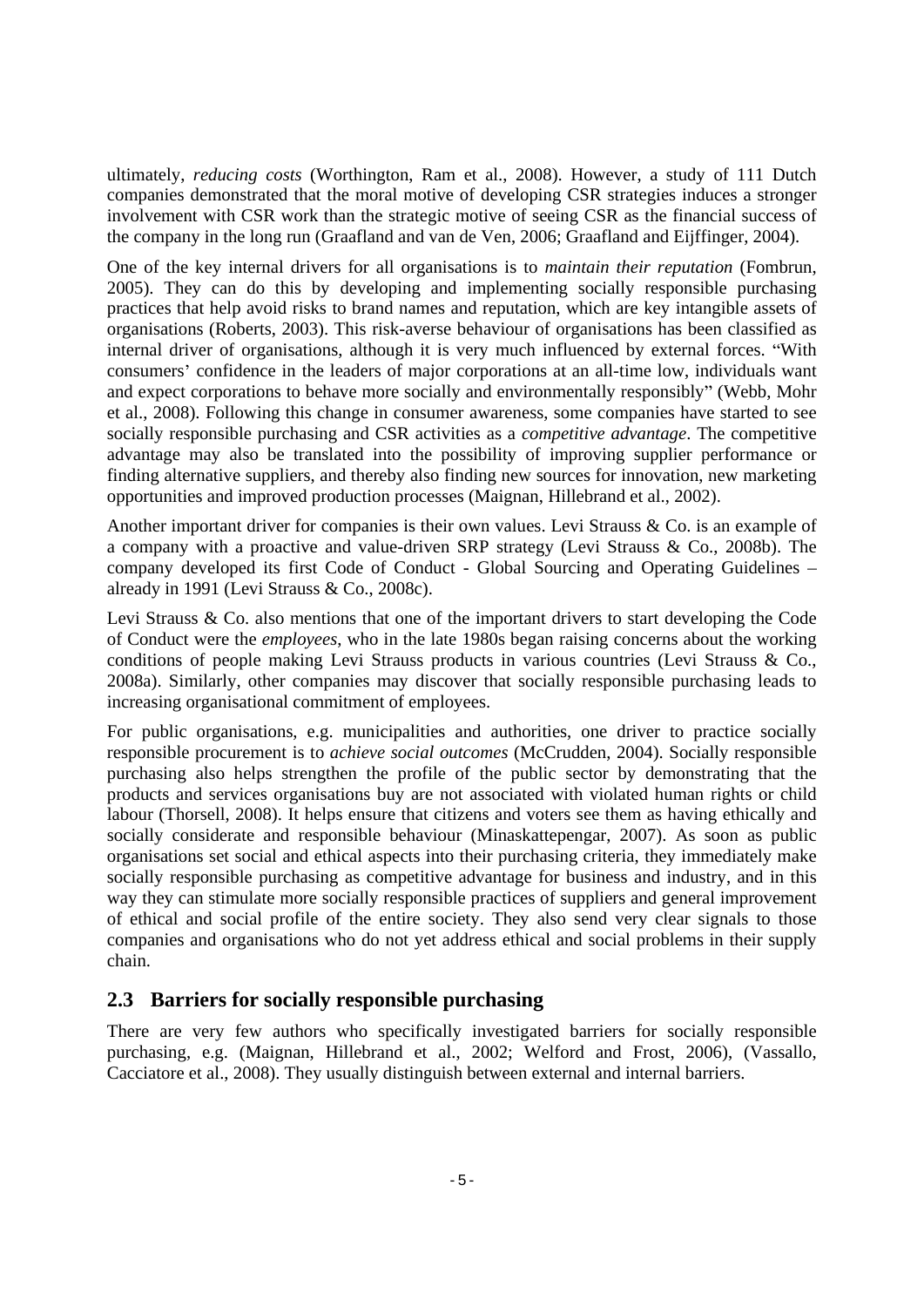ultimately, *reducing costs* (Worthington, Ram et al., 2008). However, a study of 111 Dutch companies demonstrated that the moral motive of developing CSR strategies induces a stronger involvement with CSR work than the strategic motive of seeing CSR as the financial success of the company in the long run (Graafland and van de Ven, 2006; Graafland and Eijffinger, 2004).

One of the key internal drivers for all organisations is to *maintain their reputation* (Fombrun, 2005). They can do this by developing and implementing socially responsible purchasing practices that help avoid risks to brand names and reputation, which are key intangible assets of organisations (Roberts, 2003). This risk-averse behaviour of organisations has been classified as internal driver of organisations, although it is very much influenced by external forces. "With consumers' confidence in the leaders of major corporations at an all-time low, individuals want and expect corporations to behave more socially and environmentally responsibly" (Webb, Mohr et al., 2008). Following this change in consumer awareness, some companies have started to see socially responsible purchasing and CSR activities as a *competitive advantage*. The competitive advantage may also be translated into the possibility of improving supplier performance or finding alternative suppliers, and thereby also finding new sources for innovation, new marketing

opportunities and improved production processes (Maignan, Hillebrand et al., 2002). Another important driver for companies is their own values. Levi Strauss & Co. is an example of a company with a proactive and value-driven SRP strategy (Levi Strauss & Co., 2008b). The company developed its first Code of Conduct - Global Sourcing and Operating Guidelines

already in 1991 (Levi Strauss & Co., 2008c).<br>Levi Strauss & Co. also mentions that one of the important drivers to start developing the Code of Conduct were the *employees*, who in the late 1980s began raising concerns about the working conditions of people making Levi Strauss products in various countries (Levi Strauss & Co., 2008a). Similarly, other companies may discover that socially responsible purchasing leads to increasing organisational commitment of employees.

For public organisations, e.g. municipalities and authorities, one driver to practice socially responsible procurement is to *achieve social outcomes* (McCrudden, 2004). Socially responsible purchasing also helps strengthen the profile of the public sector by demonstrating that the products and services organisations buy are not associated with violated human rights or child labour (Thorsell, 2008). It helps ensure that citizens and voters see them as having ethically and socially considerate and responsible behaviour (Minaskattepengar, 2007). As soon as public organisations set social and ethical aspects into their purchasing criteria, they immediately make socially responsible purchasing as competitive advantage for business and industry, and in this way they can stimulate more socially responsible practices of suppliers and general improvement of ethical and social profile of the entire society. They also send very clear signals to those companies and organisations who do not yet address ethical and social problems in their supply chain.

#### **2.3 Barriers for socially responsible purchasing**

There are very few authors who specifically investigated barriers for socially responsible purchasing, e.g. (Maignan, Hillebrand et al., 2002; Welford and Frost, 2006), (Vassallo, Cacciatore et al., 2008). They usually distinguish between external and internal barriers.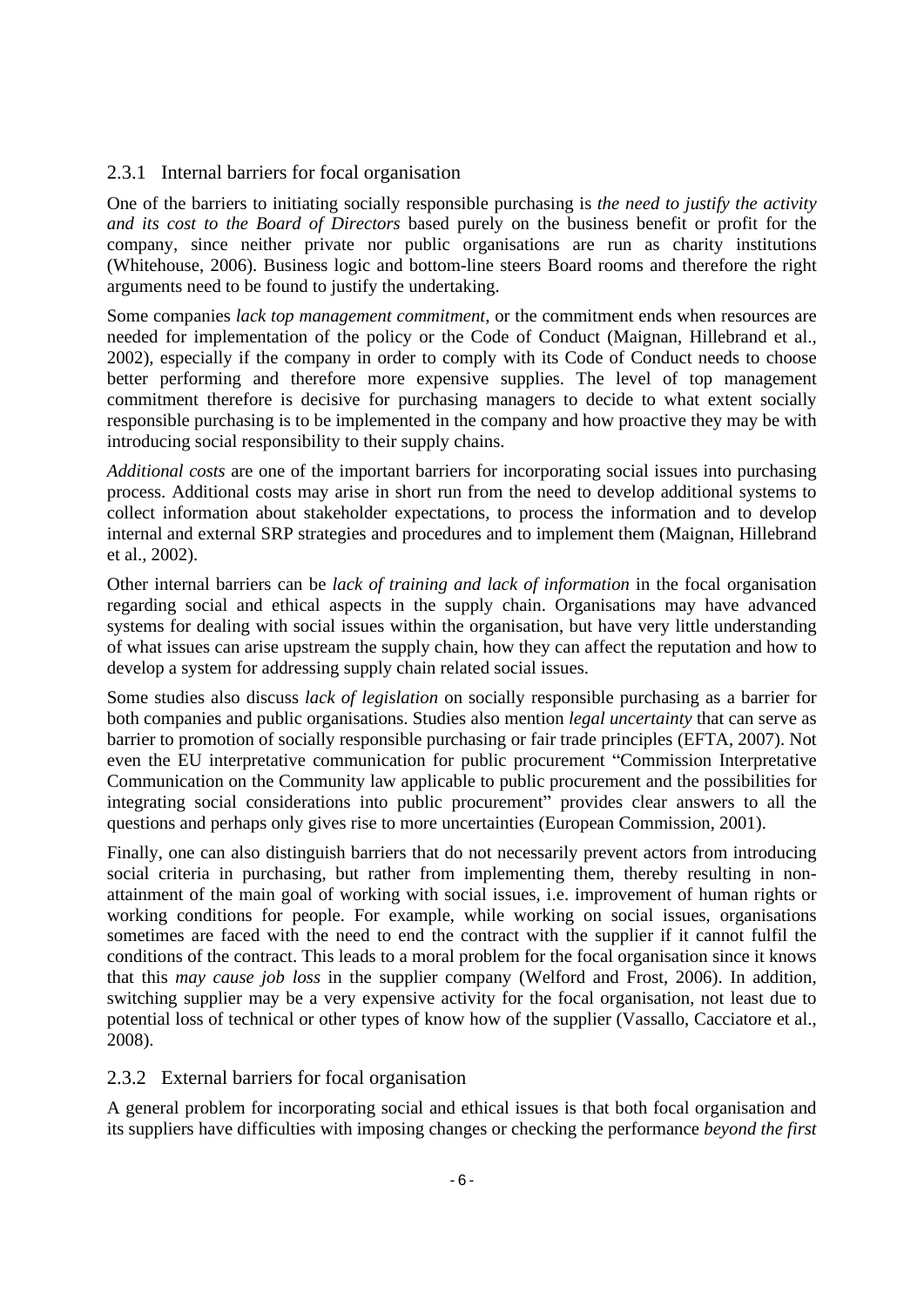#### 2.3.1 Internal barriers for focal organisation

One of the barriers to initiating socially responsible purchasing is *the need to justify the activity and its cost to the Board of Directors* based purely on the business benefit or profit for the company, since neither private nor public organisations are run as charity institutions (Whitehouse, 2006). Business logic and bottom-line steers Board rooms and therefore the right arguments need to be found to justify the undertaking.

Some companies *lack top management commitment*, or the commitment ends when resources are needed for implementation of the policy or the Code of Conduct (Maignan, Hillebrand et al., 2002), especially if the company in order to comply with its Code of Conduct needs to choose better performing and therefore more expensive supplies. The level of top management commitment therefore is decisive for purchasing managers to decide to what extent socially responsible purchasing is to be implemented in the company and how proactive they may be with introducing social responsibility to their supply chains.

*Additional costs* are one of the important barriers for incorporating social issues into purchasing process. Additional costs may arise in short run from the need to develop additional systems to collect information about stakeholder expectations, to process the information and to develop internal and external SRP strategies and procedures and to implement them (Maignan, Hillebrand

et al., 2002). Other internal barriers can be *lack of training and lack of information* in the focal organisation regarding social and ethical aspects in the supply chain. Organisations may have advanced systems for dealing with social issues within the organisation, but have very little understanding of what issues can arise upstream the supply chain, how they can affect the reputation and how to develop a system for addressing supply chain related social issues.

Some studies also discuss *lack of legislation* on socially responsible purchasing as a barrier for both companies and public organisations. Studies also mention *legal uncertainty* that can serve as barrier to promotion of socially responsible purchasing or fair trade principles (EFTA, 2007). Not even the EU interpretative communication for public procurement "Commission Interpretative Communication on the Community law applicable to public procurement and the possibilities for integrating social considerations into public procurement" provides clear answers to all the

questions and perhaps only gives rise to more uncertainties (European Commission, 2001). Finally, one can also distinguish barriers that do not necessarily prevent actors from introducing social criteria in purchasing, but rather from implementing them, thereby resulting in non attainment of the main goal of working with social issues, i.e. improvement of human rights or working conditions for people. For example, while working on social issues, organisations sometimes are faced with the need to end the contract with the supplier if it cannot fulfil the conditions of the contract. This leads to a moral problem for the focal organisation since it knows that this *may cause job loss* in the supplier company (Welford and Frost, 2006). In addition, switching supplier may be a very expensive activity for the focal organisation, not least due to potential loss of technical or other types of know how of the supplier (Vassallo, Cacciatore et al., 2008).

#### 2.3.2 External barriers for focal organisation

A general problem for incorporating social and ethical issues is that both focal organisation and its suppliers have difficulties with imposing changes or checking the performance *beyond the first*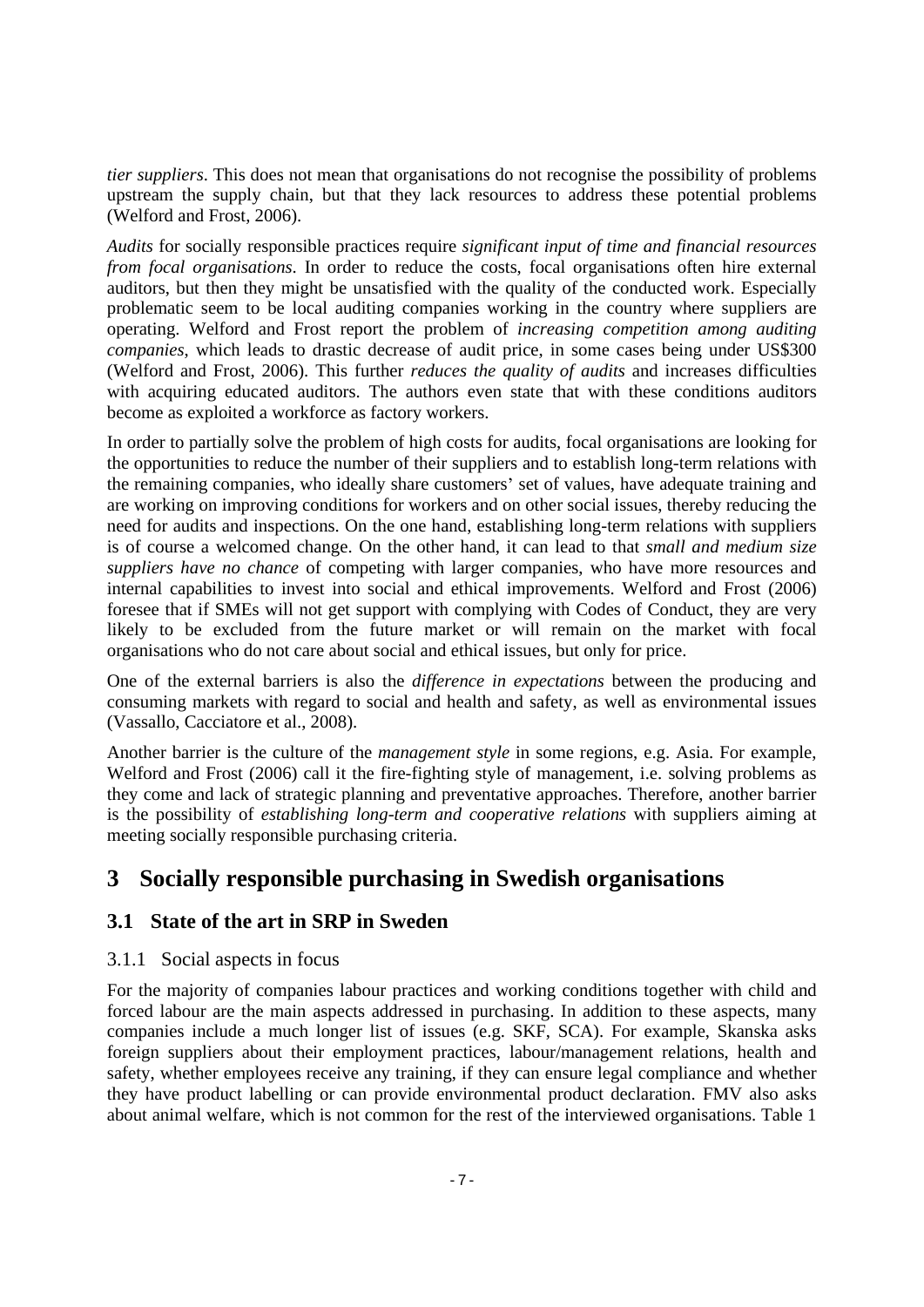*tier suppliers*. This does not mean that organisations do not recognise the possibility of problems upstream the supply chain, but that they lack resources to address these potential problems (Welford and Frost, 2006).

*Audits* for socially responsible practices require *significant input of time and financial resources from focal organisations*. In order to reduce the costs, focal organisations often hire external auditors, but then they might be unsatisfied with the quality of the conducted work. Especially problematic seem to be local auditing companies working in the country where suppliers are operating. Welford and Frost report the problem of *increasing competition among auditing companies*, which leads to drastic decrease of audit price, in some cases being under US\$300 (Welford and Frost, 2006). This further *reduces the quality of audits* and increases difficulties with acquiring educated auditors. The authors even state that with these conditions auditors become as exploited a workforce as factory workers.

In order to partially solve the problem of high costs for audits, focal organisations are looking for the opportunities to reduce the number of their suppliers and to establish long-term relations with the remaining companies, who ideally share customers' set of values, have adequate training and are working on improving conditions for workers and on other social issues, thereby reducing the need for audits and inspections. On the one hand, establishing long-term relations with suppliers is of course a welcomed change. On the other hand, it can lead to that *small and medium size* suppliers have no chance of competing with larger companies, who have more resources and internal capabilities to invest into social and ethical improvements. Welford and Frost (2006) foresee that if SMEs will not get support with complying with Codes of Conduct, they are very likely to be excluded from the future market or will remain on the market with focal organisations who do not care about social and ethical issues, but only for price.

One of the external barriers is also the *difference in expectations* between the producing and consuming markets with regard to social and health and safety, as well as environmental issues (Vassallo, Cacciatore et al., 2008).<br>Another barrier is the culture of the *management style* in some regions, e.g. Asia. For example,

Welford and Frost (2006) call it the fire-fighting style of management, i.e. solving problems as they come and lack of strategic planning and preventative approaches. Therefore, another barrier is the possibility of *establishing long-term and cooperative relations* with suppliers aiming at meeting socially responsible purchasing criteria.

# **3 Socially responsible purchasing in Swedish organisations**

## **3.1 State of the art in SRP in Sweden**

#### 3.1.1 Social aspects in focus

For the majority of companies labour practices and working conditions together with child and forced labour are the main aspects addressed in purchasing. In addition to these aspects, many companies include a much longer list of issues (e.g. SKF, SCA). For example, Skanska asks foreign suppliers about their employment practices, labour/management relations, health and safety, whether employees receive any training, if they can ensure legal compliance and whether they have product labelling or can provide environmental product declaration. FMV also asks about animal welfare, which is not common for the rest of the interviewed organisations. Table 1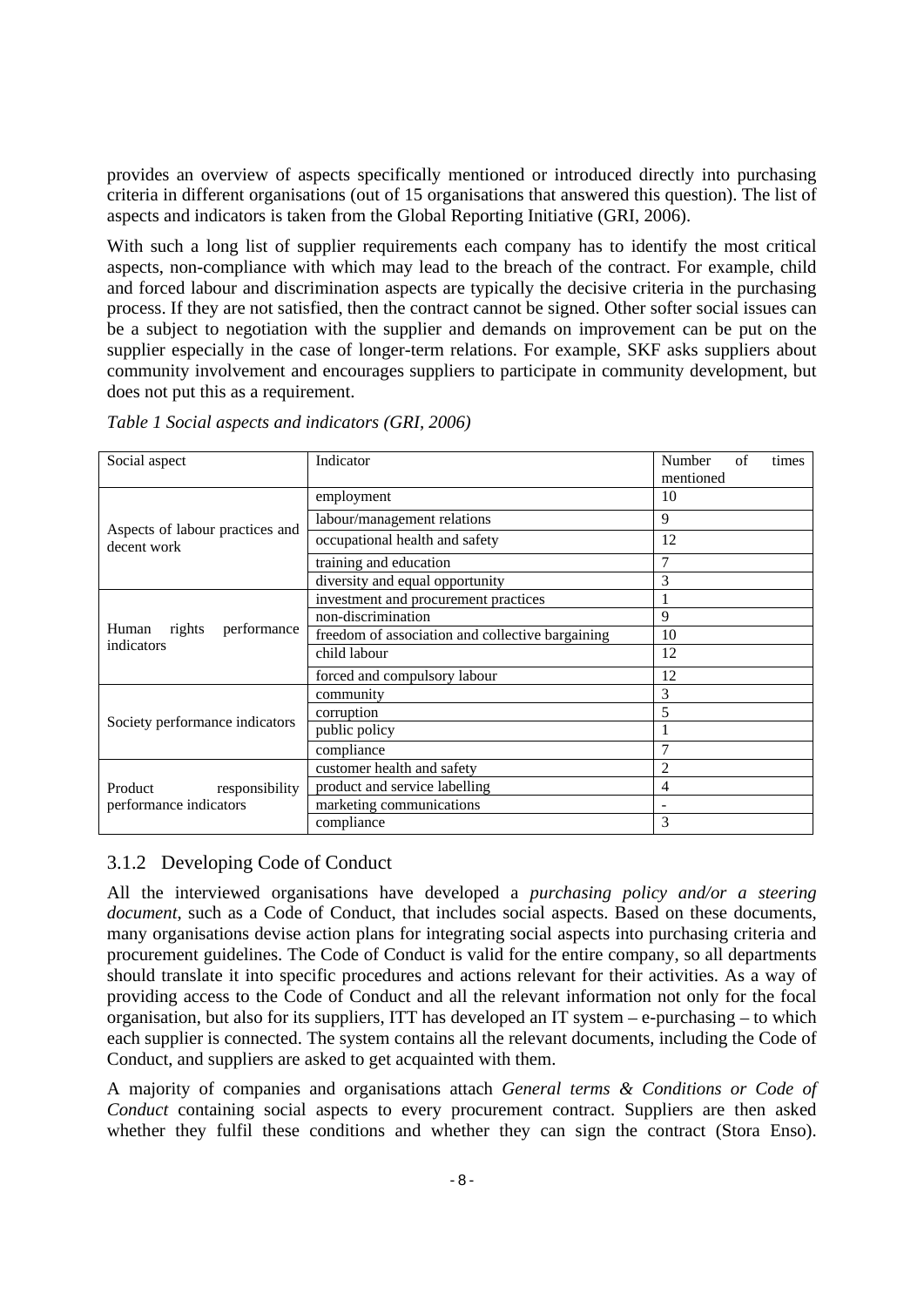provides an overview of aspects specifically mentioned or introduced directly into purchasing criteria in different organisations (out of 15 organisations that answered this question). The list of aspects and indicators is taken from the Global Reporting Initiative (GRI, 2006).

With such a long list of supplier requirements each company has to identify the most critical aspects, non-compliance with which may lead to the breach of the contract. For example, child and forced labour and discrimination aspects are typically the decisive criteria in the purchasing process. If they are not satisfied, then the contract cannot be signed. Other softer social issues can be a subject to negotiation with the supplier and demands on improvement can be put on the supplier especially in the case of longer-term relations. For example, SKF asks suppliers about community involvement and encourages suppliers to participate in community development, but does not put this as a requirement.

| Social aspect                                                                                  | Indicator                                    | Number of times        |
|------------------------------------------------------------------------------------------------|----------------------------------------------|------------------------|
|                                                                                                |                                              | mentioned              |
| Aspects of labour practices and<br>decent work                                                 | employment                                   |                        |
|                                                                                                | labour/management relations                  |                        |
|                                                                                                | ccupational health and safety                | $\perp$                |
|                                                                                                | training and education                       |                        |
|                                                                                                | diversity and equal opportunity              |                        |
| Human rights performance <u>freedom of association and collective bargaining</u><br>indicators | investment and procurement practices         |                        |
|                                                                                                | non-discrimination                           |                        |
|                                                                                                |                                              | 10                     |
|                                                                                                | child labour                                 | $1^{\circ}$<br>$\perp$ |
|                                                                                                | forced and compulsory labour                 | $1^{\circ}$<br>12      |
| Society performance indicators                                                                 | community                                    |                        |
|                                                                                                | corruption                                   |                        |
|                                                                                                | public policy                                |                        |
|                                                                                                | compliance                                   |                        |
| Product<br>performance indicators                                                              | customer health and safety                   |                        |
|                                                                                                | responsibility product and service labelling |                        |
|                                                                                                | marketing communications                     |                        |
|                                                                                                | compliance                                   |                        |

*Table 1 Social aspects and indicators (GRI, 2006)*

#### 3.1.2 Developing Code of Conduct

All the interviewed organisations have developed a *purchasing policy and/or a steering document*, such as a Code of Conduct, that includes social aspects. Based on these documents, many organisations devise action plans for integrating social aspects into purchasing criteria and procurement guidelines. The Code of Conduct is valid for the entire company, so all departments should translate it into specific procedures and actions relevant for their activities. As a way of providing access to the Code of Conduct and all the relevant information not only for the focal organisation, but also for its suppliers, ITT has developed an IT system  $-e$ -purchasing  $-e$  to which each supplier is connected. The system contains all the relevant documents, including the Code of Conduct, and suppliers are asked to get acquainted with them.

A majority of companies and organisations attach *General terms & Conditions or Code of Conduct* containing social aspects to every procurement contract. Suppliers are then asked whether they fulfil these conditions and whether they can sign the contract (Stora Enso).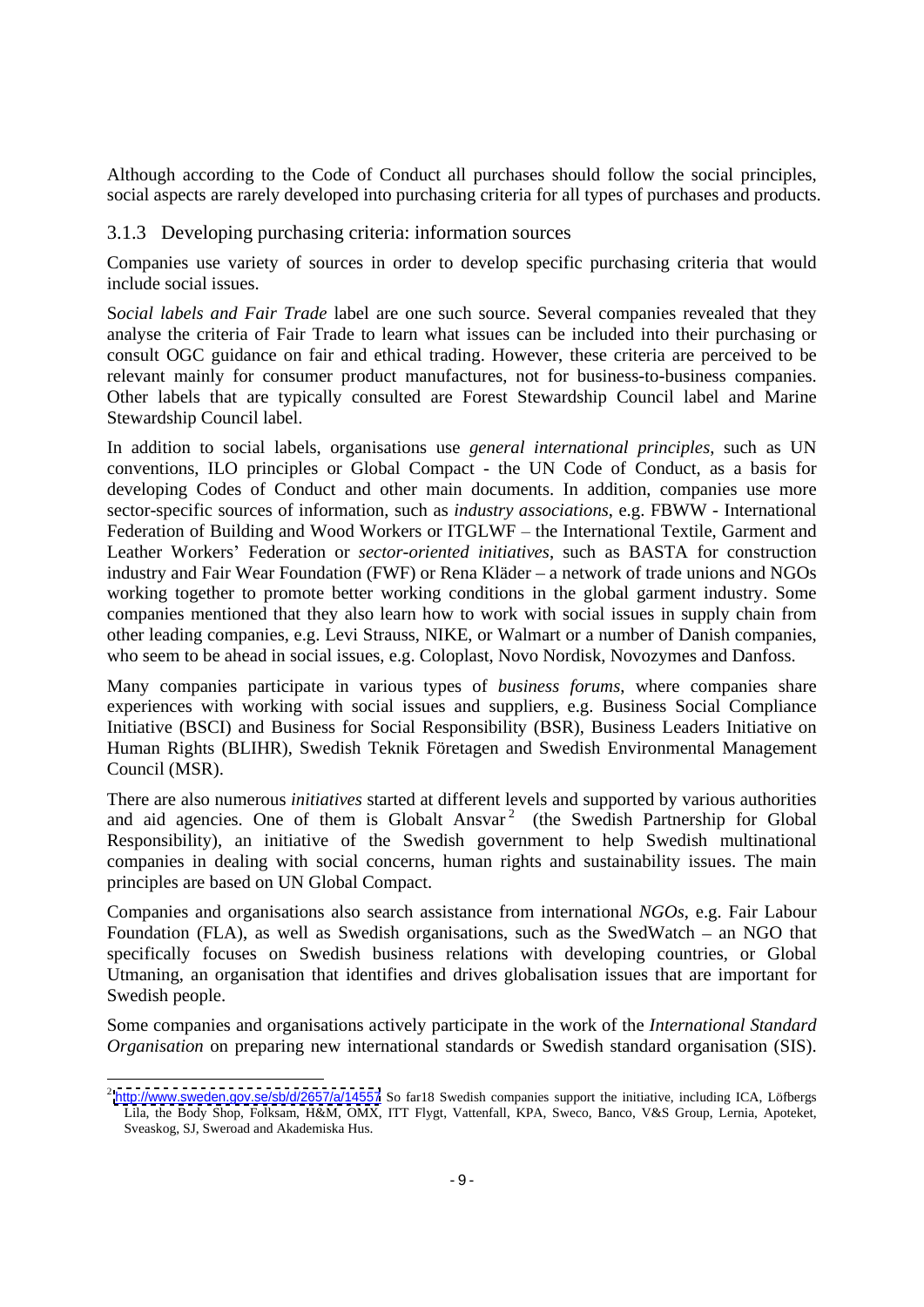#### 3.1.3 Developing purchasing criteria: information sources

Companies use variety of sources in order to develop specific purchasing criteria that would include social issues.

S*ocial labels and Fair Trade* label are one such source. Several companies revealed that they analyse the criteria of Fair Trade to learn what issues can be included into their purchasing or consult OGC guidance on fair and ethical trading. However, these criteria are perceived to be relevant mainly for consumer product manufactures, not for business-to-business companies. Other labels that are typically consulted are Forest Stewardship Council label and Marine Stewardship Council label.

Although according to the Code of Conduct all purchases should follow the social principles.<br>
3.1.3. Developing purchasing criteria: information sources<br>
3.1.3. Developing purchasing criteria: information sources<br>
1.3.1.3 In addition to social labels, organisations use *general international principles*, such as UN conventions, ILO principles or Global Compact - the UN Code of Conduct, as a basis for developing Codes of Conduct and other main documents. In addition, companies use more sector-specific sources of information, such as *industry associations*, e.g. FBWW - International Federation of Building and Wood Workers or ITGLWF - the International Textile, Garment and Leather Workers' Federation or *sector-oriented initiatives*, such as BASTA for construction industry and Fair Wear Foundation (FWF) or Rena Kläder – a network of trade unions and NGOs working together to promote better working conditions in the global garment industry. Some companies mentioned that they also learn how to work with social issues in supply chain from other leading companies, e.g. Levi Strauss, NIKE, or Walmart or a number of Danish companies, who seem to be ahead in social issues, e.g. Coloplast, Novo Nordisk, Novozymes and Danfoss.

Many companies participate in various types of *business forums*, where companies share experiences with working with social issues and suppliers, e.g. Business Social Compliance Initiative (BSCI) and Business for Social Responsibility (BSR), Business Leaders Initiative on Human Rights (BLIHR), Swedish Teknik Företagen and Swedish Environmental Management Council (MSR).

There are also numerous *initiatives* started at different levels and supported by various authorities and aid agencies. One of them is Globalt Ansvar 2 (the Swedish Partnership for Global Responsibility), an initiative of the Swedish government to help Swedish multinational companies in dealing with social concerns, human rights and sustainability issues. The main principles are based on UN Global Compact.

Companies and organisations also search assistance from international *NGOs*, e.g.Fair Labour Foundation (FLA), as well as Swedish organisations, such as the SwedWatch  $-$  an NGO that specifically focuses on Swedish business relations with developing countries, or Global Utmaning, an organisation that identifies and drives globalisation issues that are important for Swedish people.

Some companies and organisations actively participate in the work of the *International Standard Organisation* on preparing new international standards or Swedish standard organisation (SIS).

 $^2$  <http://www.sweden.gov.se/sb/d/2657/a/14557> So far18 Swedish companies support the initiative, including ICA, Löfbergs Lila, the Body Shop, Folksam, H&M, OMX, ITT Flygt, Vattenfall, KPA, Sweco, Banco, V&S Group, Lernia, Apoteket, Sveaskog, SJ, Sweroad and Akademiska Hus.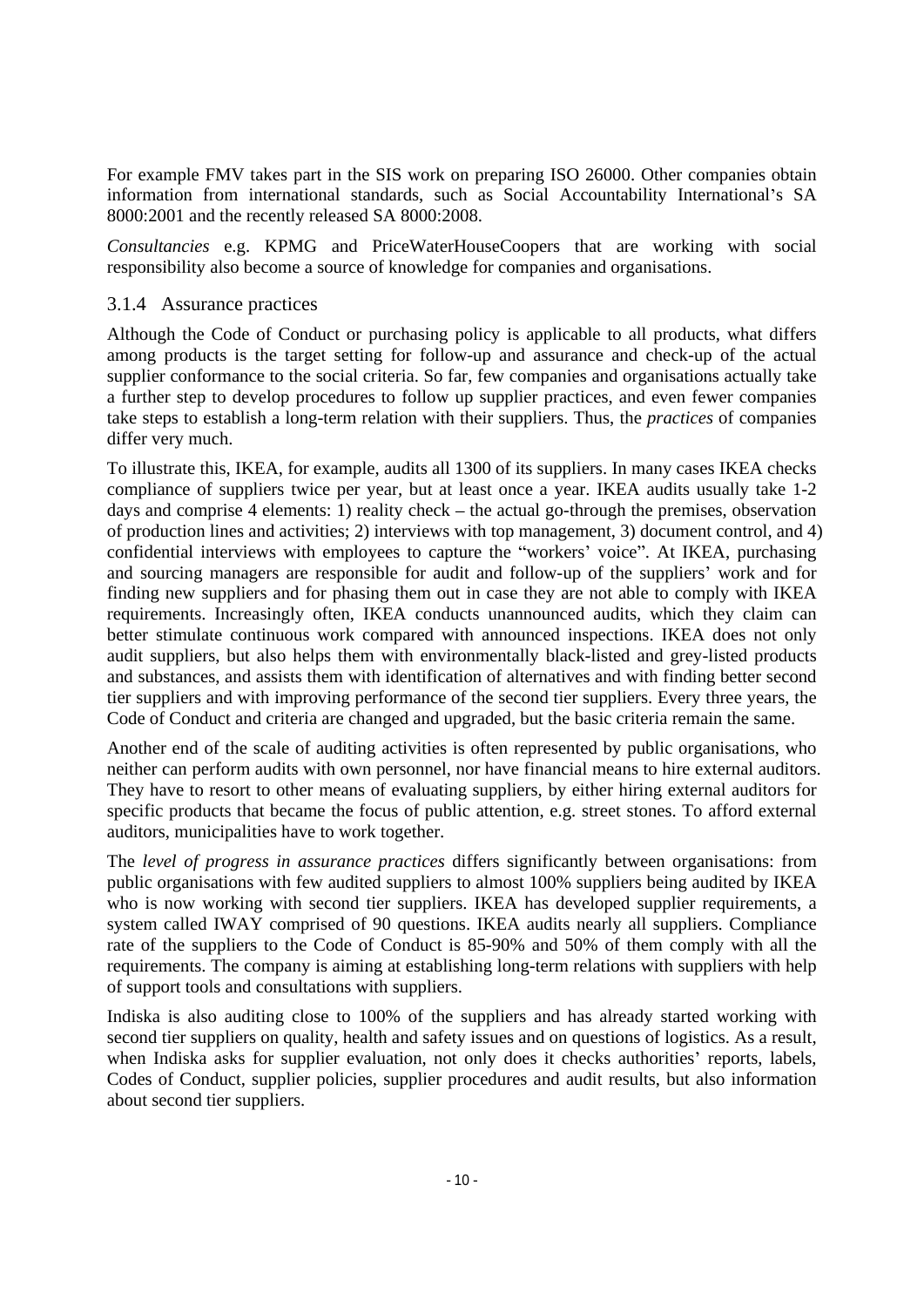For example FMV takes part in the SIS work on preparing ISO 26000. Other companies obtain information from international standards, such as Social Accountability International's SA 8000:2001 and the recently released SA 8000:2008.

*Consultancies* e.g. KPMG and PriceWaterHouseCoopers that are working with social responsibility also become a source of knowledge for companies and organisations.

#### 3.1.4 Assurance practices

Although the Code of Conduct or purchasing policy is applicable to all products, what differs among products is the target setting for follow-up and assurance and check-up of the actual supplier conformance to the social criteria. So far, few companies and organisations actually take a further step to develop procedures to follow up supplier practices, and even fewer companies take steps to establish a long-term relation with their suppliers. Thus, the *practices* of companies differ very much.

To illustrate this, IKEA, for example, audits all 1300 of its suppliers. In many cases IKEA checks compliance of suppliers twice per year, but at least once a year. IKEA audits usually take 1-2 days and comprise 4 elements: 1) reality check  $-$  the actual go-through the premises, observation of production lines and activities; 2) interviews with top management, 3) document control, and 4) confidential interviews with employees to capture the "workers' voice". At IKEA, purchasing and sourcing managers are responsible for audit and follow-up of the suppliers' work and for finding new suppliers and for phasing them out in case they are not able to comply with IKEA requirements. Increasingly often, IKEA conducts unannounced audits, which they claim can better stimulate continuous work compared with announced inspections. IKEA does not only audit suppliers, but also helps them with environmentally black-listed and grey-listed products and substances, and assists them with identification of alternatives and with finding better second tier suppliers and with improving performance of the second tier suppliers. Every three years, the Code of Conduct and criteria are changed and upgraded, but the basic criteria remain the same.

Another end of the scale of auditing activities is often represented by public organisations, who neither can perform audits with own personnel, nor have financial means to hire external auditors. They have to resort to other means of evaluating suppliers, by either hiring external auditors for specific products that became the focus of public attention, e.g. street stones. To afford external

auditors, municipalities have to work together.<br>The *level of progress in assurance practices* differs significantly between organisations: from public organisations with few audited suppliers to almost 100% suppliers being audited by IKEA who is now working with second tier suppliers. IKEA has developed supplier requirements, a system called IWAY comprised of 90 questions. IKEA audits nearly all suppliers. Compliance rate of the suppliers to the Code of Conduct is 85-90% and 50% of them comply with all the requirements. The company is aiming at establishing long-term relations with suppliers with help of support tools and consultations with suppliers.

Indiska is also auditing close to 100% of the suppliers and has already started working with second tier suppliers on quality, health and safety issues and on questions of logistics. As a result, when Indiska asks for supplier evaluation, not only does it checks authorities' reports, labels, Codes of Conduct, supplier policies, supplier procedures and audit results, but also information about second tier suppliers.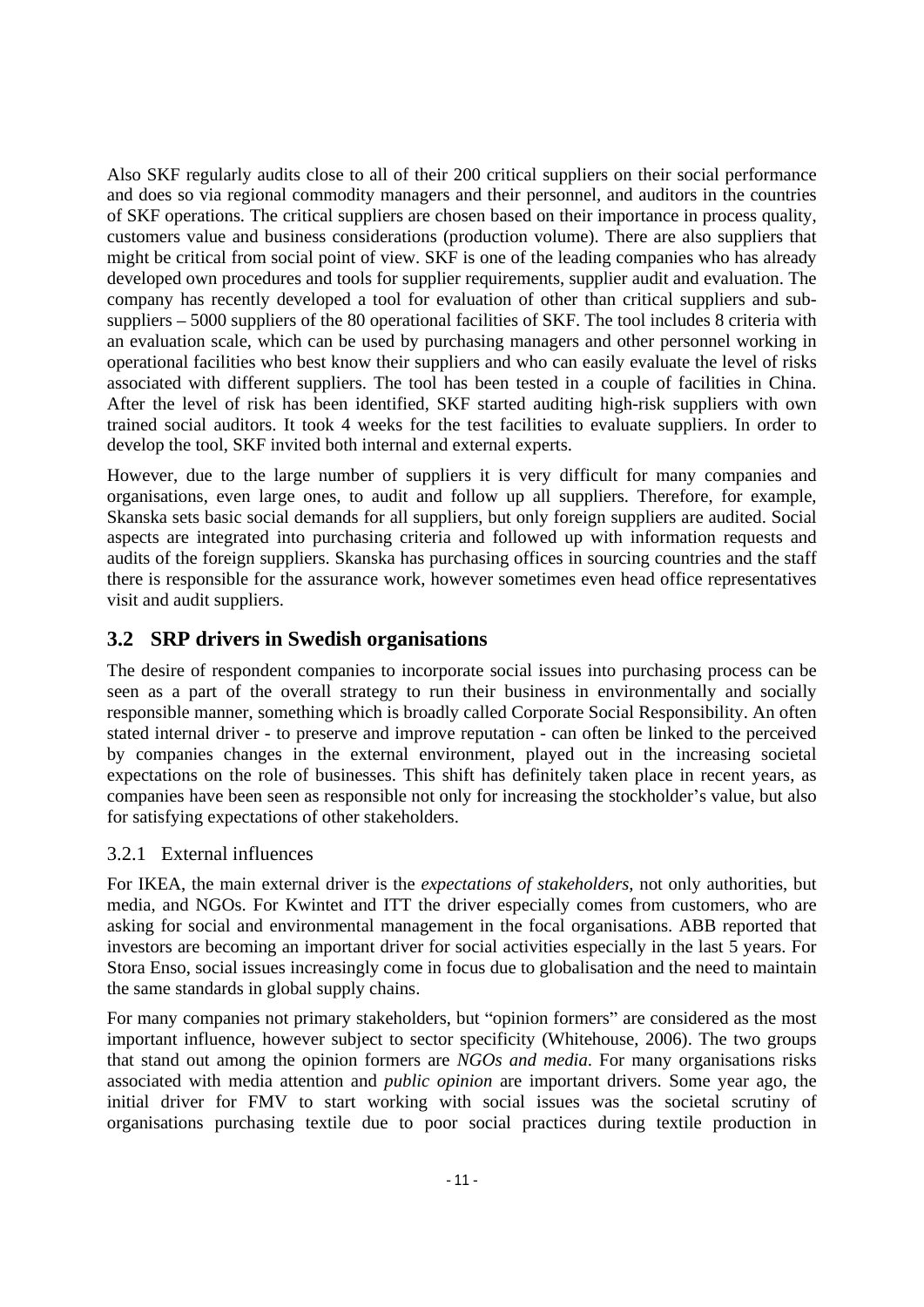Also SKF regularity audies close to all of their 200 critical suppliers on their actional suppliers of the state of their 200 critical suppliers and the their contents in excelsive a SNF regular contents in the contents i and does so via regional commodity managers and their personnel, and auditors in the countries of SKF operations. The critical suppliers are chosen based on their importance in process quality, customers value and business considerations (production volume). There are also suppliers that might be critical from social point of view. SKF is one of the leading companies who has already developed own procedures and tools for supplier requirements, supplier audit and evaluation. The company has recently developed a tool for evaluation of other than critical suppliers and sub suppliers – 5000 suppliers of the 80 operational facilities of SKF. The tool includes 8 criteria with an evaluation scale, which can be used by purchasing managers and other personnel working in operational facilities who best know their suppliers and who can easily evaluate the level of risks associated with different suppliers. The tool has been tested in a couple of facilities in China. After the level of risk has been identified, SKF started auditing high-risk suppliers with own trained social auditors. It took 4 weeks for the test facilities to evaluate suppliers. In order to develop the tool, SKF invited both internal and external experts.

However, due to the large number of suppliers it is very difficult for many companies and organisations, even large ones, to audit and follow up all suppliers. Therefore, for example, Skanska sets basic social demands for all suppliers, but only foreign suppliers are audited. Social aspects are integrated into purchasing criteria and followed up with information requests and audits of the foreign suppliers. Skanska has purchasing offices in sourcing countries and the staff there is responsible for the assurance work, however sometimes even head office representatives visit and audit suppliers.

## **3.2 SRP drivers in Swedish organisations**

The desire of respondent companies to incorporate social issues into purchasing process can be seen as a part of the overall strategy to run their business in environmentally and socially responsible manner, something which is broadly called Corporate Social Responsibility. An often stated internal driver - to preserve and improve reputation - can often be linked to the perceived by companies changes in the external environment, played out in the increasing societal expectations on the role of businesses. This shift has definitely taken place in recent years, as companies have been seen as responsible not only for increasing the stockholder's value, but also for satisfying expectations of other stakeholders.

#### 3.2.1 External influences

For IKEA, the main external driver is the *expectations of stakeholders*, not only authorities, but media, and NGOs. For Kwintet and ITT the driver especially comes from customers, who are asking for social and environmental management in the focal organisations. ABB reported that investors are becoming an important driver for social activities especially in the last 5 years. For Stora Enso, social issues increasingly come in focus due to globalisation and the need to maintain the same standards in global supply chains.

For many companies not primary stakeholders, but "opinion formers" are considered as the most important influence, however subject to sector specificity (Whitehouse, 2006). The two groups that stand out among the opinion formers are *NGOs and media*. For many organisations risks associated with media attention and *public opinion* are important drivers. Some year ago, the initial driver for FMV to start working with social issues was the societal scrutiny of organisations purchasing textile due to poor social practices during textile production in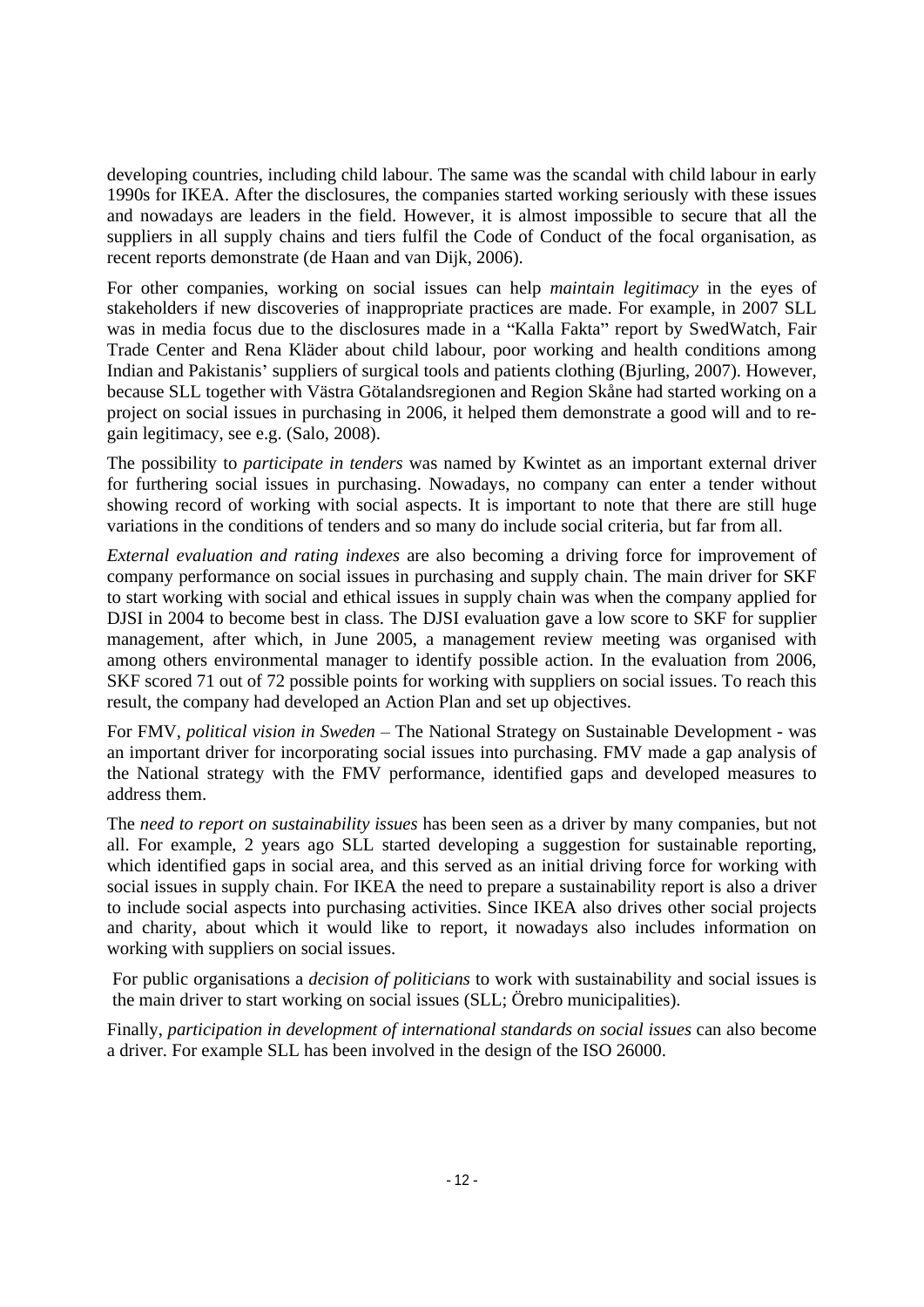developing countries, including child labour. The same was the scandal with child labour in early 1990s for IKEA. After the disclosures, the companies started working seriously with these issues and nowadays are leaders in the field. However, it is almost impossible to secure that all the suppliers in all supply chains and tiers fulfil the Code of Conduct of the focal organisation, as recent reports demonstrate (de Haan and van Dijk, 2006).

For other companies, working on social issues can help *maintain legitimacy* in the eyes of stakeholders if new discoveries of inappropriate practices are made. For example, in 2007 SLL was in media focus due to the disclosures made in a "Kalla Fakta" report by SwedWatch, Fair Trade Center and Rena Kläder about child labour, poor working and health conditions among Indian and Pakistanis' suppliers of surgical tools and patients clothing (Bjurling, 2007). However, because SLL together with Västra Götalandsregionen and Region Skåne had started working on a project on social issues in purchasing in 2006, it helped them demonstrate a good will and to re gain legitimacy, see e.g. (Salo, 2008).

The possibility to *participate in tenders* was named by Kwintet as an important external driver for furthering social issues in purchasing. Nowadays, no company can enter a tender without showing record of working with social aspects. It is important to note that there are still huge variations in the conditions of tenders and so many do include social criteria, but far from all.

*External evaluation and rating indexes* arealso becoming a driving force for improvement of company performance on social issues in purchasing and supply chain. The main driver for SKF to start working with social and ethical issues in supply chain was when the company applied for DJSI in 2004 to become best in class. The DJSI evaluation gave a low score to SKF for supplier management, after which, in June 2005, a management review meeting was organised with among others environmental manager to identify possible action. In the evaluation from 2006, SKF scored 71 out of 72 possible points for working with suppliers on social issues. To reach this result, the company had developed an Action Plan and set up objectives.

For FMV, *political vision in Sweden* - The National Strategy on Sustainable Development - was an important driver for incorporating social issuesinto purchasing. FMV made a gap analysis of the National strategy with the FMV performance, identified gaps and developed measures to address them.

The *need to report on sustainability issues* has been seen asa driver by many companies, but not all. For example, 2 years ago SLL started developing a suggestion for sustainable reporting, which identified gaps in social area, and this served as an initial driving force for working with social issues in supply chain. For IKEA the need to prepare a sustainability report is also a driver to include social aspects into purchasing activities. Since IKEA also drives other social projects and charity, about which it would like to report, it nowadays also includes information on working with suppliers on social issues.

For public organisations a *decision of politicians* to work with sustainability and social issues is the main driver to start working on social issues (SLL; Örebro municipalities).

Finally, *participation in development of international standards on social issues* can also become a driver. For example SLL has been involved in the design of the ISO 26000.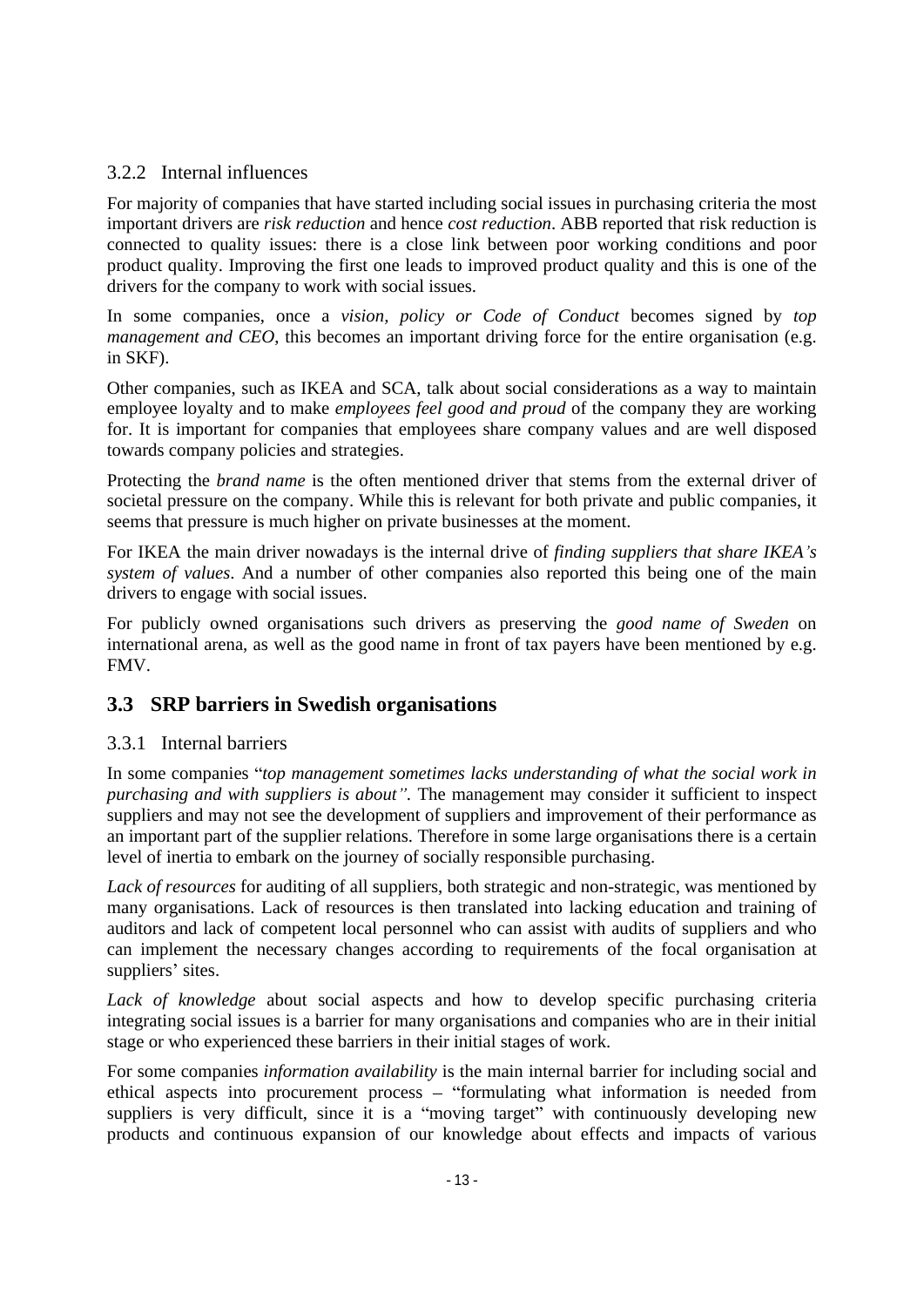#### 3.2.2 Internal influences

For majority of companies that have started including social issues in purchasing criteria the most important drivers are *risk reduction* and hence *cost reduction*. ABB reported that risk reduction is connected to quality issues: there is a close link between poor working conditions and poor product quality. Improving the first one leads to improved product quality and this is one of the drivers for the company to work with social issues.

In some companies, once a *vision, policy or Code of Conduct* becomes signed by *top management and CEO*, this becomes an important driving force for the entire organisation (e.g. in SKF).

Other companies, such as IKEA and SCA, talk about social considerations as a way to maintain employee loyalty and to make *employees feel good and proud* of the company they are working for. It is important for companies that employees share company values and are well disposed towards company policies and strategies.

Protecting the *brand name* is the often mentioned driver that stems from the external driver of societal pressure on the company. While this is relevant for both private and public companies, it seems that pressure is much higher on private businesses at the moment.

For IKEA the main driver nowadays is the internal drive of *finding suppliers that share IKEA s system of values*. And a number of other companies also reported this being one of the main drivers to engage with social issues.

For publicly owned organisations such drivers as preserving the *good name of Sweden* on international arena, as well as the good name in front of tax payers have been mentioned by e.g. FMV.

## **3.3 SRP barriers in Swedish organisations**

#### 3.3.1 Internal barriers

In some companies *top management sometimes lacks understanding of what the social work in purchasing and with suppliers is about .* The management may consider it sufficient to inspect suppliers and may not see the development of suppliers and improvement of their performance as an important part of the supplier relations. Therefore in some large organisations there is a certain level of inertia to embark on the journey of socially responsible purchasing.

*Lack of resources* for auditing of all suppliers, both strategic and non-strategic, was mentioned by many organisations. Lack of resources is then translated into lacking education and training of auditors and lack of competent local personnel who can assist with audits of suppliers and who can implement the necessary changes according to requirements of the focal organisation at suppliers' sites.

*Lack of knowledge* about social aspects and how to develop specific purchasing criteria integrating social issues is a barrier for many organisationsand companies who are in their initial stage or who experienced these barriers in their initial stages of work.

For some companies *information availability* is the main internal barrier for including social and ethical aspects into procurement process  $-$  "formulating what information is needed from suppliers is very difficult, since it is a "moving target" with continuously developing new products and continuous expansion of our knowledge about effects and impacts of various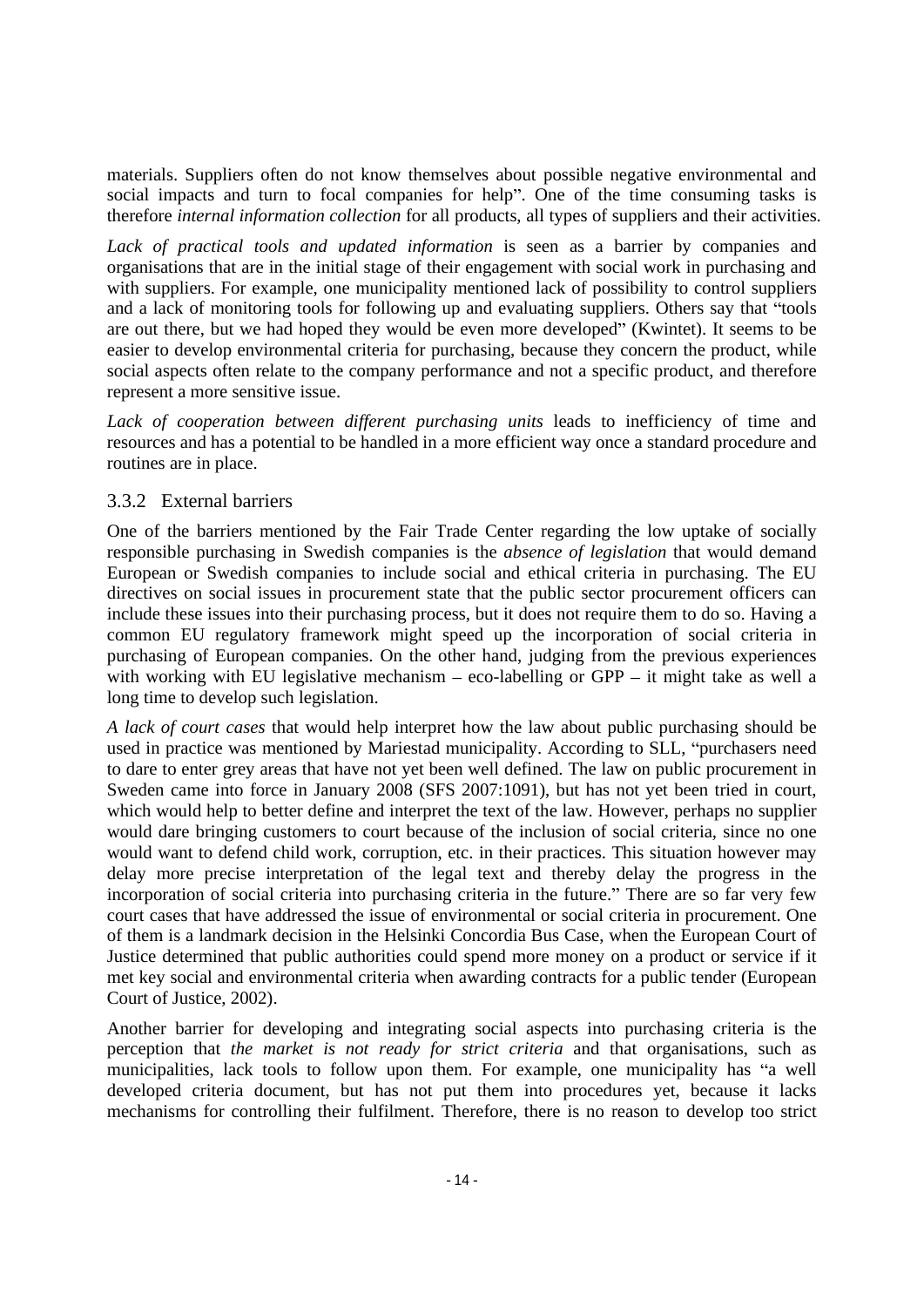social impacts and turn to focal companies for help". One of the time consuming tasks is therefore *internal information collection* for all products, all types of suppliers and their activities.

*Lack of practical tools and updated information* is seen as a barrier by companies and organisations that are in the initial stage of their engagement with social work in purchasing and with suppliers. For example, one municipality mentioned lack of possibility to control suppliers and a lack of monitoring tools for following up and evaluating suppliers. Others say that "tools" are out there, but we had hoped they would be even more developed" (Kwintet). It seems to be easier to develop environmental criteria for purchasing, because they concern the product, while social aspects often relate to the company performance and not a specific product, and therefore represent a more sensitive issue.

Lack of cooperation between different purchasing units leads to inefficiency of time and resources and has a potential to be handled in a more efficient way once a standard procedure and routines are in place.

#### 3.3.2 External barriers

One of the barriers mentioned by the Fair Trade Center regarding the low uptake of socially responsible purchasing in Swedish companies is the *absence of legislation* that would demand European or Swedish companies to include social and ethical criteria in purchasing. The EU directives on social issues in procurement state that the public sector procurement officers can include these issues into their purchasing process, but it does not require them to do so. Having a common EU regulatory framework might speed up the incorporation of social criteria in purchasing of European companies. On the other hand, judging from the previous experiences with working with EU legislative mechanism  $-$  eco-labelling or GPP  $-$  it might take as well a long time to develop such legislation.

materials. Suppliers often do not know themselves about possible negative contromancial and<br>negative of  $\mu$  and  $\mu$  of the material and products, about possible negative and them sixted in<br>the environmental and the mate *A lack of court cases* that would help interpret how the law about public purchasing should be used in practice was mentioned by Mariestad municipality. According to SLL, "purchasers need to dare to enter grey areas that have not yet been well defined. The law on public procurement in Sweden came into force in January 2008 (SFS 2007:1091), but has not yet been tried in court, which would help to better define and interpret the text of the law. However, perhaps no supplier would dare bringing customers to court because of the inclusion of social criteria, since no one would want to defend child work, corruption, etc. in their practices. This situation however may delay more precise interpretation of the legal text and thereby delay the progress in the incorporation of social criteria into purchasing criteria in the future." There are so far very few court cases that have addressed the issue of environmental or social criteria in procurement. One of them is a landmark decision in the Helsinki Concordia Bus Case, when the European Court of Justice determined that public authorities could spend more money on a product or service if it met key social and environmental criteria when awarding contracts for a public tender (European Court of Justice, 2002).

Another barrier for developing and integrating social aspects into purchasing criteria is the perception that *the market is not ready for strict criteria* and that organisations, such as municipalities, lack tools to follow upon them. For example, one municipality has "a well developed criteria document, but has not put them into procedures yet, because it lacks mechanisms for controlling their fulfilment. Therefore, there is no reason to develop too strict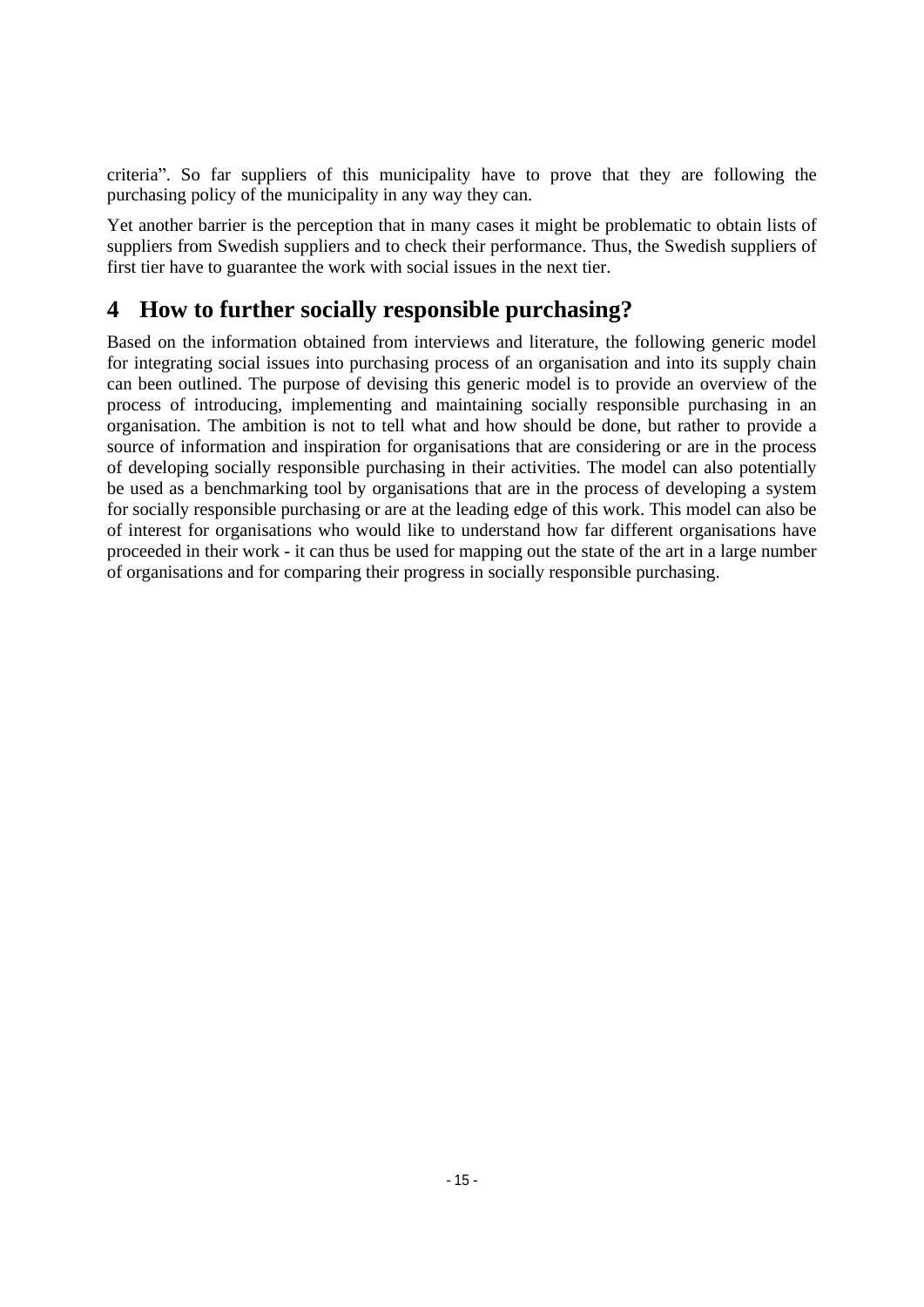criteria . So far suppliers of this municipality have to prove that they are following the purchasing policy of the municipality in any way they can.

Yet another barrier is the perception that in many cases it might be problematic to obtain lists of suppliers from Swedish suppliers and to check their performance. Thus, the Swedish suppliers of first tier have to guarantee the work with social issues in the next tier.

# **4 How to further socially responsible purchasing?**

Based on the information obtained from interviews and literature, the following generic model for integrating social issues into purchasing process of an organisation and into its supply chain can been outlined. The purpose of devising this generic model is to provide an overview of the process of introducing, implementing and maintaining socially responsible purchasing in an organisation. The ambition is not to tell what and how should be done, but rather to provide a source of information and inspiration for organisations that are considering or are in the process of developing socially responsible purchasing in their activities. The model can also potentially be used as a benchmarking tool by organisations that are in the process of developing a system for socially responsible purchasing or are at the leading edge of this work. This model can also be of interest for organisations who would like to understand how far different organisations have proceeded in their work - it can thus be used for mapping out the state of the art in a large number of organisations and for comparing their progress in socially responsible purchasing.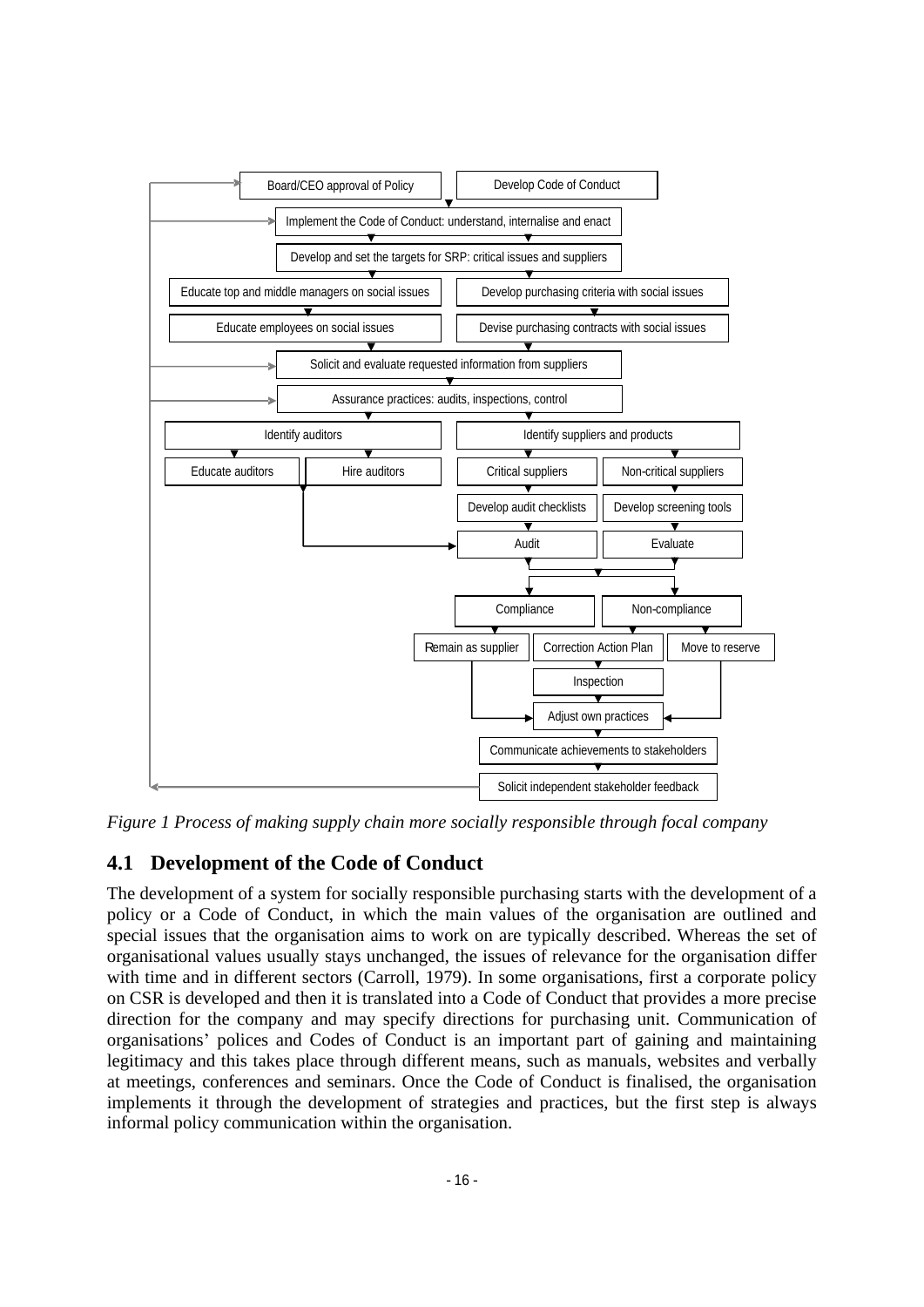

*Figure 1 Process of making supply chain more socially responsible through focal company*

## **4.1 Development of the Code of Conduct**

The development of a system for socially responsible purchasing starts with the development of a policy or a Code of Conduct, in which the main values of the organisation are outlined and special issues that the organisation aims to work on are typically described. Whereas the set of organisational values usually stays unchanged, the issues of relevance for the organisation differ with time and in different sectors (Carroll, 1979). In some organisations, first a corporate policy on CSR is developed and then it is translated into a Code of Conduct that provides a more precise direction for the company and may specify directions for purchasing unit. Communication of organisations' polices and Codes of Conduct is an important part of gaining and maintaining legitimacy and this takes place through different means, such as manuals, websites and verbally at meetings, conferences and seminars. Once the Code of Conduct is finalised, the organisation implements it through the development of strategies and practices, but the first step is always informal policy communication within the organisation.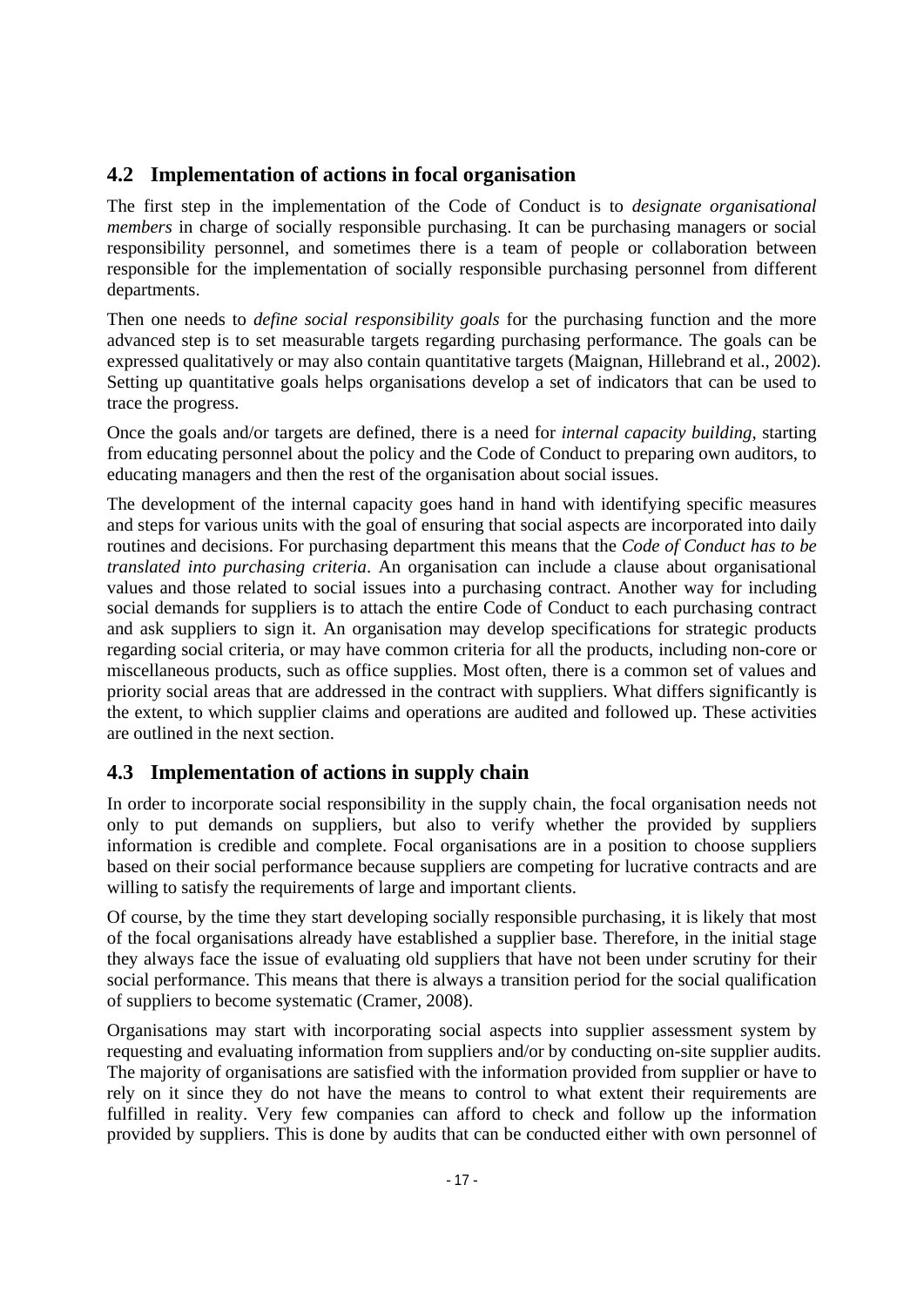## **4.2 Implementation of actions in focal organisation**

The first step in the implementation of the Code of Conduct is to *designate organisational members* in charge of socially responsible purchasing. It can be purchasing managers or social responsibility personnel, and sometimes there is a team of people or collaboration between responsible for the implementation of socially responsible purchasing personnel from different departments.

Then one needs to *define social responsibility goals* for the purchasing function and the more advanced step is to set measurable targets regarding purchasing performance. The goals can be expressed qualitatively or may also contain quantitative targets (Maignan, Hillebrand et al., 2002). Setting up quantitative goals helps organisations develop <sup>a</sup> set of indicators that can be used to trace the progress.

Once the goals and/or targets are defined, there is a need for *internal capacity building*, starting from educating personnel about the policy and the Code of Conduct to preparing own auditors, to educating managers and then the rest of the organisation about social issues.

The development of the internal capacity goes hand in hand with identifying specific measures and steps for various units with the goal of ensuring that social aspects are incorporated into daily routines and decisions. For purchasing department this means that the *Code of Conduct has to be translated into purchasing criteria*. An organisation can include a clause about organisational values and those related to social issues into a purchasing contract. Another way for including social demands for suppliers is to attach the entire Code of Conduct to each purchasing contract and ask suppliers to sign it. An organisation may develop specifications for strategic products regarding social criteria, or may have common criteria for all the products, including non-core or miscellaneous products, such as office supplies. Most often, there is a common set of values and priority social areas that are addressed in the contract with suppliers. What differs significantly is the extent, to which supplier claims and operations are audited and followed up. These activities are outlined in the next section.

## **4.3 Implementation of actions in supply chain**

In order to incorporate social responsibility in the supply chain, the focal organisation needs not only to put demands on suppliers, but also to verify whether the provided by suppliers information is credible and complete. Focal organisations are in a position to choose suppliers based on their social performance because suppliers are competing for lucrative contracts and are willing to satisfy the requirements of large and important clients.

Of course, by the time they start developing socially responsible purchasing, it is likely that most of the focal organisations already have established a supplier base. Therefore, in the initial stage they always face the issue of evaluating old suppliers that have not been under scrutiny for their social performance. This means that there is always a transition period for the social qualification of suppliers to become systematic (Cramer, 2008).

Organisations may start with incorporating social aspects into supplier assessment system by requesting and evaluating information from suppliers and/or by conducting on-site supplier audits. The majority of organisations are satisfied with the information provided from supplier or have to rely on it since they do not have the means to control to what extent their requirements are fulfilled in reality. Very few companies can afford to check and follow up the information provided by suppliers. This is done by audits that can be conducted either with own personnel of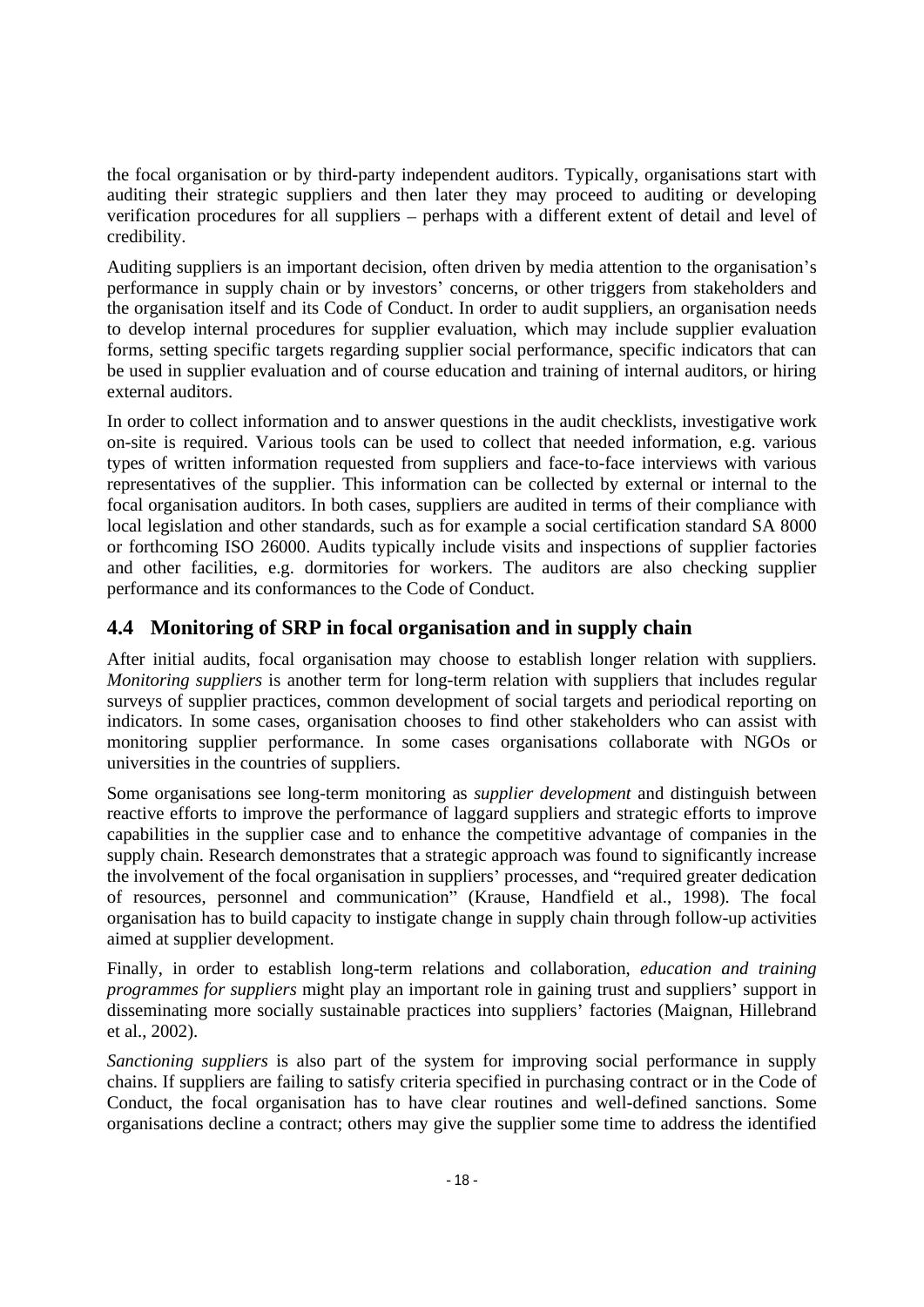the focal organisation or by third-party independent auditors. Typically, organisations start with auditing their strategic suppliers and then later they may proceed to auditing or developing verification procedures for all suppliers – perhaps with a different extent of detail and level of credibility.

Auditing suppliers is an important decision, often driven by media attention to the organisation's performance in supply chain or by investors' concerns, or other triggers from stakeholders and the organisation itself and its Code of Conduct. In order to audit suppliers, an organisation needs to develop internal procedures for supplier evaluation, which may include supplier evaluation forms, setting specific targets regarding supplier social performance, specific indicators that can be used in supplier evaluation and of course education and training of internal auditors, or hiring external auditors.

In order to collect information and to answer questions in the audit checklists, investigative work on-site is required. Various tools can be used to collect that needed information, e.g. various types of written information requested from suppliers and face-to-face interviews with various representatives of the supplier. This information can be collected by external or internal to the focal organisation auditors. In both cases, suppliers are audited in terms of their compliance with local legislation and other standards, such as for example a social certification standard SA 8000 or forthcoming ISO 26000. Audits typically include visits and inspections of supplier factories and other facilities, e.g. dormitories for workers. The auditors are also checking supplier performance and its conformances to the Code of Conduct.

## **4.4 Monitoring of SRP in focal organisation and in supply chain**

After initial audits, focal organisation may choose to establish longer relation with suppliers. *Monitoring suppliers* is another term for long-term relation with suppliers that includes regular surveys of supplier practices, common development of social targets and periodical reporting on indicators. In some cases, organisation chooses to find other stakeholders who can assist with monitoring supplier performance. In some cases organisations collaborate with NGOs or universities in the countries of suppliers.

Some organisations see long-term monitoring as *supplier development* and distinguish between reactive efforts to improve the performance of laggard suppliers and strategic efforts to improve capabilities in the supplier case and to enhance the competitive advantage of companies in the supply chain. Research demonstrates that a strategic approach was found to significantly increase the involvement of the focal organisation in suppliers' processes, and "required greater dedication of resources, personnel and communication" (Krause, Handfield et al., 1998). The focal organisation has to build capacity to instigate change in supply chain through follow-up activities aimed at supplier development.

Finally, in order to establish long-term relations and collaboration, *education and training programmes for suppliers* might play an important role in gaining trust and suppliers' support in disseminating more socially sustainable practices into suppliers' factories (Maignan, Hillebrand et al., 2002).

*Sanctioning suppliers* is also part of the system for improving social performance in supply chains. If suppliers are failing to satisfy criteria specified in purchasing contract or in the Code of Conduct, the focal organisation has to have clear routines and well-defined sanctions. Some organisations decline a contract; others may give the supplier some time to address the identified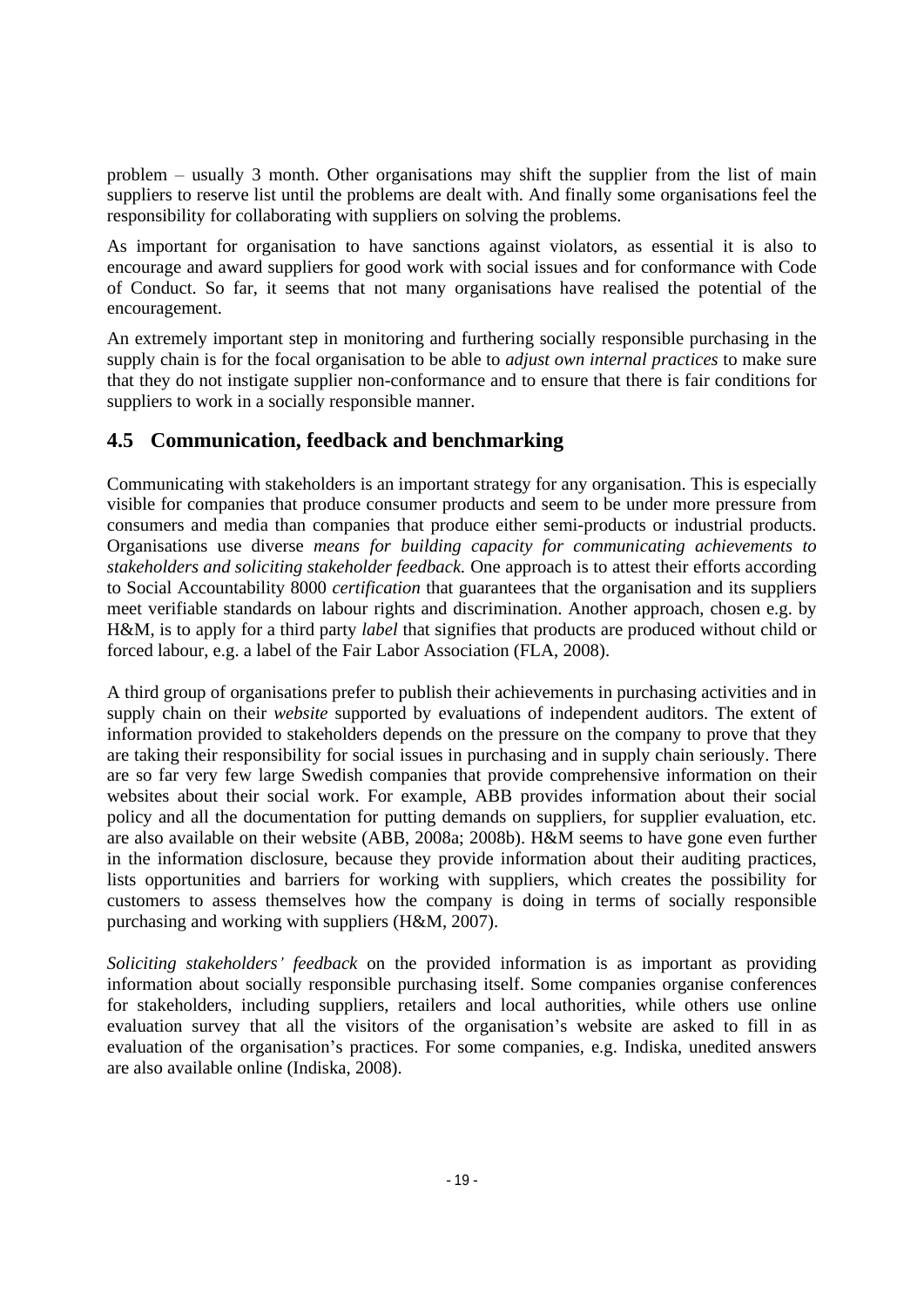problem – usually 3 month. Other organisations may shift the supplier from the list of main suppliers to reserve list until the problems are dealt with. And finally some organisations feel the responsibility for collaborating with suppliers on solving the problems.

As important for organisation to have sanctions against violators, as essential it is also to encourage and award suppliers for good work with social issues and for conformance with Code of Conduct. So far, it seems that not many organisations have realised the potential of the encouragement.

An extremely important step in monitoring and furthering socially responsible purchasing in the supply chain is for the focal organisation to be able to *adjust own internal practices* to make sure that they do not instigate supplier non-conformance and to ensure that there is fair conditions for suppliers to work in a socially responsible manner.

## **4.5 Communication, feedback and benchmarking**

Communicating with stakeholders is an important strategy for any organisation. This is especially visible for companies that produce consumer products and seem to be under more pressure from consumers and media than companies that produce either semi-products or industrial products. Organisations use diverse *means for building capacity for communicating achievements to stakeholders and soliciting stakeholder feedback.* One approach is to attest their efforts according to Social Accountability 8000 *certification* that guarantees that the organisation and its suppliers meet verifiable standards on labour rights and discrimination. Another approach, chosen e.g. by H&M, is to apply for a third party *label* that signifies that products are produced without child or forced labour, e.g. a label of the Fair Labor Association (FLA, 2008). A third group of organisations prefer to publish their achievements in purchasing activities and in

supply chain on their *website* supported by evaluations of independent auditors. The extent of information provided to stakeholders depends on the pressure on the company to prove that they are taking their responsibility for social issues in purchasing and in supply chain seriously. There are so far very few large Swedish companies that provide comprehensive information on their websites about their social work. For example, ABB provides information about their social policy and all the documentation for putting demands on suppliers, for supplier evaluation, etc. are also available on their website (ABB, 2008a; 2008b). H&M seems to have gone even further in the information disclosure, because they provide information about their auditing practices, lists opportunities and barriers for working with suppliers, which creates the possibility for customers to assess themselves how the company is doing in terms of socially responsible purchasing and working with suppliers (H&M, 2007).

*Soliciting stakeholders feedback* on the provided information is as important as providing information about socially responsible purchasing itself. Some companies organise conferences for stakeholders, including suppliers, retailers and local authorities, while others use online evaluation survey that all the visitors of the organisation's website are asked to fill in as evaluation of the organisation's practices. For some companies, e.g. Indiska, unedited answers are also available online (Indiska, 2008).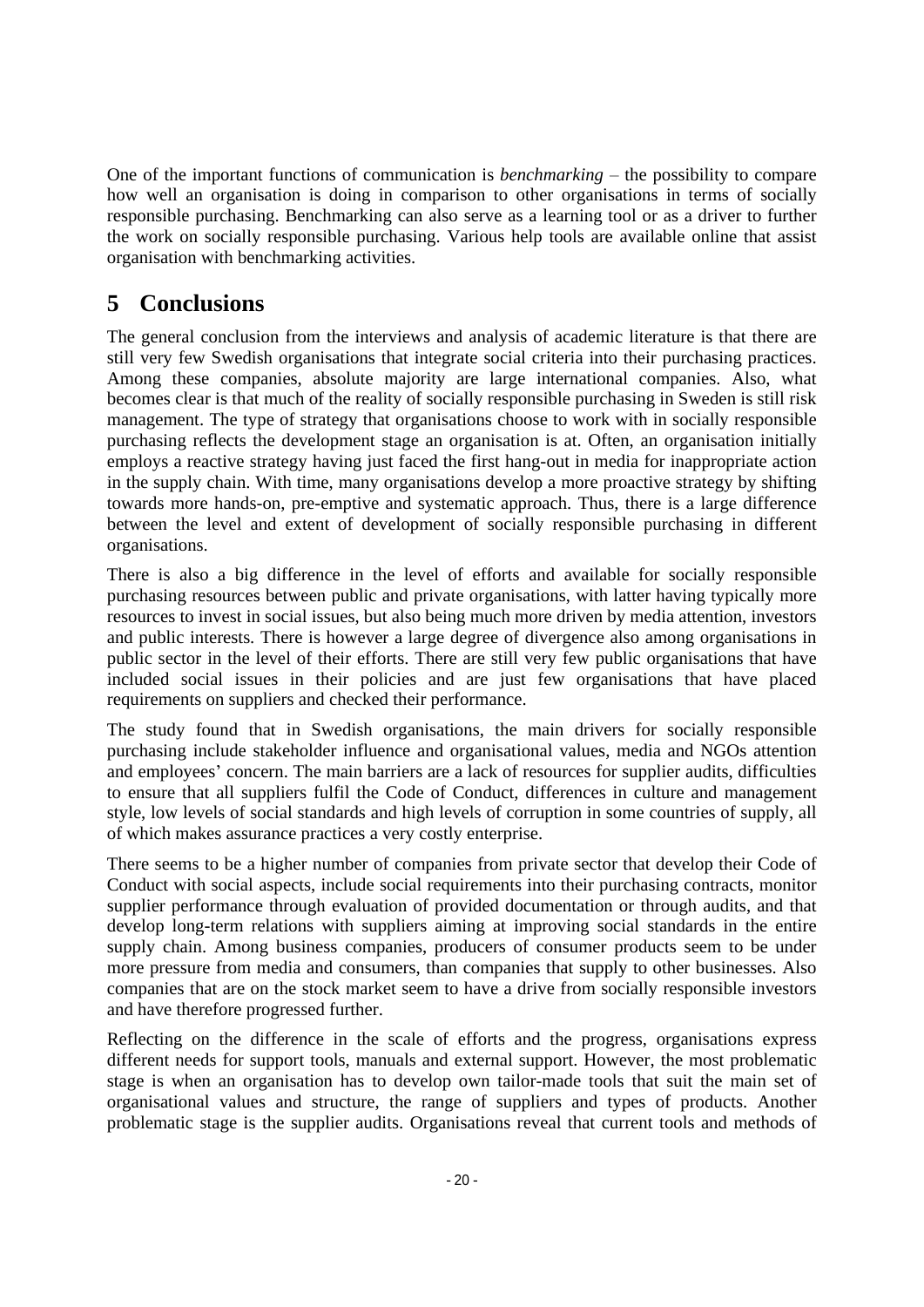how well an organisation is doing in comparison to other organisations in terms of socially responsible purchasing. Benchmarking can also serve as a learning tool or as a driver to further the work on socially responsible purchasing. Various help tools are available online that assist organisation with benchmarking activities.

# **5 Conclusions**

One of the important functions of communication is *benchmarking* - the possibility to compare the important functions in *benchmarking* the material proportions in terms in the internet of the internet of the internet of The general conclusion from the interviews and analysis of academic literature is that there are still very few Swedish organisations that integrate social criteria into their purchasing practices. Among these companies, absolute majority are large international companies. Also, what becomes clear is that much of the reality of socially responsible purchasing in Sweden is still risk management. The type of strategy that organisations choose to work with in socially responsible purchasing reflects the development stage an organisation is at. Often, an organisation initially employs a reactive strategy having just faced the first hang-out in media for inappropriate action in the supply chain. With time, many organisations develop amore proactive strategy by shifting towards more hands-on, pre-emptive and systematic approach. Thus, there is a large difference between the level and extent of development of socially responsible purchasing in different organisations.

There is also a big difference in the level of efforts and available for socially responsible purchasing resources between public and private organisations, with latter having typically more resources to invest in social issues, but also being much more driven by media attention, investors and public interests. There is however a large degree of divergence also among organisations in public sector in the level of their efforts. There are still very few public organisations that have included social issues in their policies and are just few organisations that have placed requirements on suppliers and checked their performance.

The study found that in Swedish organisations, the main drivers for socially responsible purchasing include stakeholder influence and organisational values, media and NGOs attention and employees' concern. The main barriers are a lack of resources for supplier audits, difficulties to ensure that all suppliers fulfil the Code of Conduct, differences in culture and management style, low levels of social standards and high levels of corruption in some countries of supply, all of which makes assurance practices a very costly enterprise.

There seems to be a higher number of companies from private sector that develop their Code of Conduct with social aspects, include social requirements into their purchasing contracts, monitor supplier performance through evaluation of provided documentation or through audits, and that develop long-term relations with suppliers aiming at improving social standards in the entire supply chain. Among business companies, producers of consumer products seem to be under more pressure from media and consumers, than companies that supply to other businesses. Also companies that are on the stock market seem to have a drive from socially responsible investors and have therefore progressed further.

Reflecting on the difference in the scale of efforts and the progress, organisations express different needs for support tools, manuals and external support. However, the most problematic stage is when an organisation has to develop own tailor-made tools that suit the main set of organisational values and structure, the range of suppliers and types of products. Another problematic stage is the supplier audits. Organisations reveal that current tools and methods of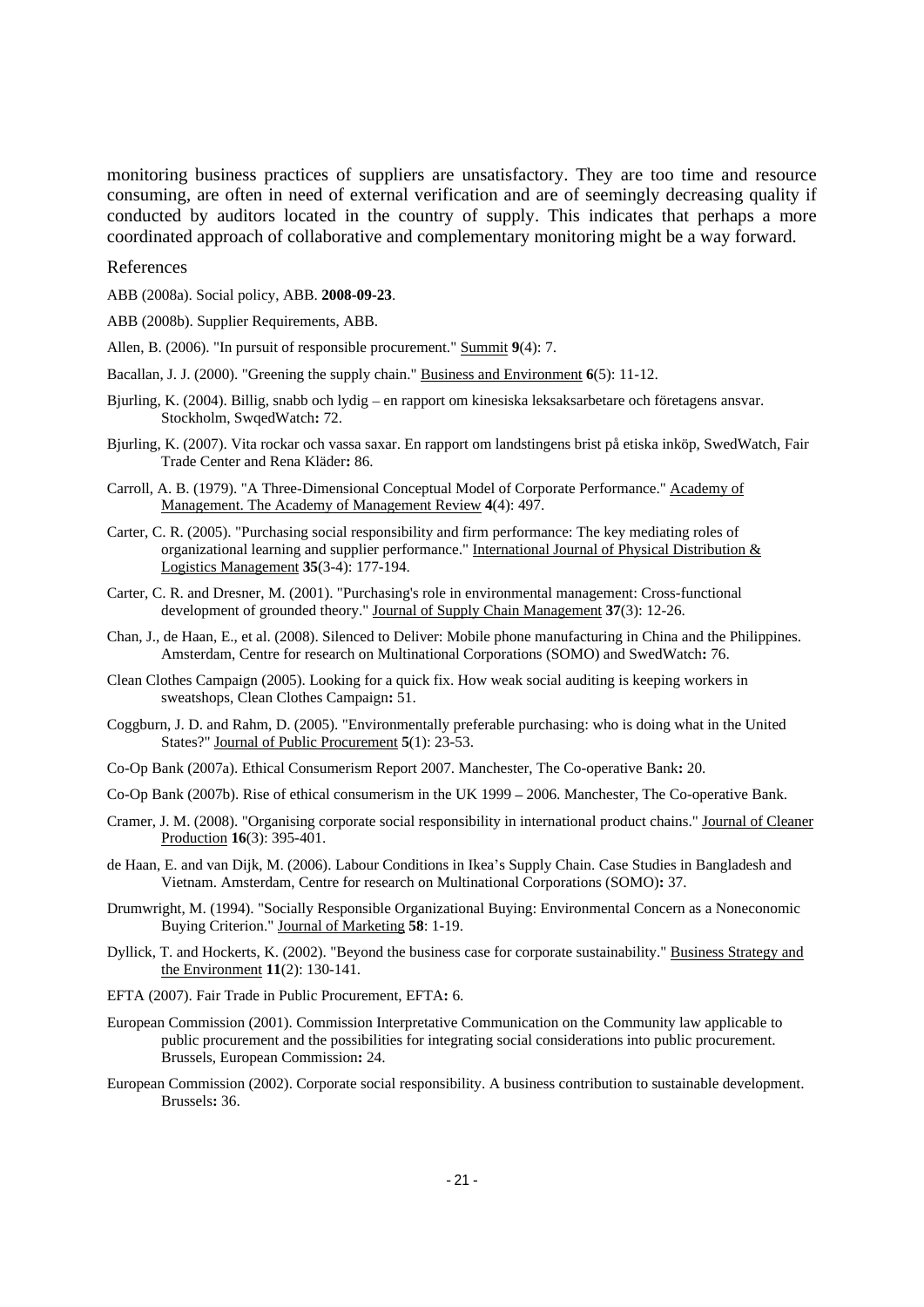monitoring busines practices of suppliers are unsatisfactory. They are too time and resources of suppliers business practices of suppliers are unsatisfactory. The substitutes of such an extended with a monitor of supplier consuming, are often in need of external verification and are of seemingly decreasing quality if conducted by auditors located in the country of supply. This indicates that perhaps a more coordinated approach of collaborative and complementary monitoring might be a way forward.

#### References

ABB (2008a). Social policy, ABB. **2008-09-23**.

ABB (2008b). Supplier Requirements, ABB.

- Allen, B. (2006). "In pursuit of responsible procurement." Summit **9**(4): 7.
- Bacallan, J. J. (2000). "Greening the supply chain." Business and Environment **6**(5): 11-12.
- Bjurling, K. (2004). Billig, snabb och lydig en rapport om kinesiska leksaksarbetare och företagens ansvar. Stockholm, SwqedWatch**:** 72.
- Bjurling, K. (2007). Vita rockar och vassa saxar. En rapport om landstingens brist på etiska inköp, SwedWatch, Fair Trade Center and Rena Kläder**:** 86.
- Carroll, A. B. (1979). "A Three-Dimensional Conceptual Model of Corporate Performance." Academy of Management. The Academy of Management Review **4**(4): 497.
- Carter, C. R. (2005). "Purchasing social responsibility and firm performance: The key mediating roles of organizational learning and supplier performance." International Journal of Physical Distribution & Logistics Management **35**(3-4): 177-194.
- Carter, C. R. and Dresner, M. (2001). "Purchasing's role in environmental management: Cross-functional development of grounded theory." Journal of Supply Chain Management **37**(3): 12-26.
- Chan, J., de Haan, E., et al. (2008). Silenced to Deliver: Mobile phone manufacturing in China and the Philippines. Amsterdam, Centre for research on Multinational Corporations (SOMO) and SwedWatch**:** 76.
- Clean Clothes Campaign (2005). Looking for a quick fix. How weak social auditing is keeping workers in sweatshops, Clean Clothes Campaign**:** 51.
- Coggburn, J. D. and Rahm, D. (2005). "Environmentally preferable purchasing: who is doing what in the United States?" Journal of Public Procurement **5**(1): 23-53.
- Co-Op Bank (2007a). Ethical Consumerism Report 2007. Manchester, The Co-operative Bank**:** 20.
- Co-Op Bank (2007b). Rise of ethical consumerism in the UK 1999 2006. Manchester, The Co-operative Bank.
- Cramer, J. M. (2008). "Organising corporate social responsibility in international product chains." Journal of Cleaner Production **16**(3): 395-401.
- de Haan, E. and van Dijk, M. (2006). Labour Conditions in Ikea's Supply Chain. Case Studies in Bangladesh and Vietnam. Amsterdam, Centre for research on Multinational Corporations (SOMO)**:** 37.
- Drumwright, M. (1994). "Socially Responsible Organizational Buying: Environmental Concern as a Noneconomic Buying Criterion." Journal of Marketing **58**: 1-19.
- Dyllick, T. and Hockerts, K. (2002). "Beyond the business case for corporate sustainability." Business Strategy and the Environment **11**(2): 130-141.
- EFTA (2007). Fair Trade in Public Procurement, EFTA**:** 6.
- European Commission (2001). Commission Interpretative Communication on the Community law applicable to public procurement and the possibilities for integrating social considerations into public procurement. Brussels, European Commission**:** 24.
- European Commission (2002). Corporate social responsibility. A business contribution to sustainable development. Brussels**:** 36.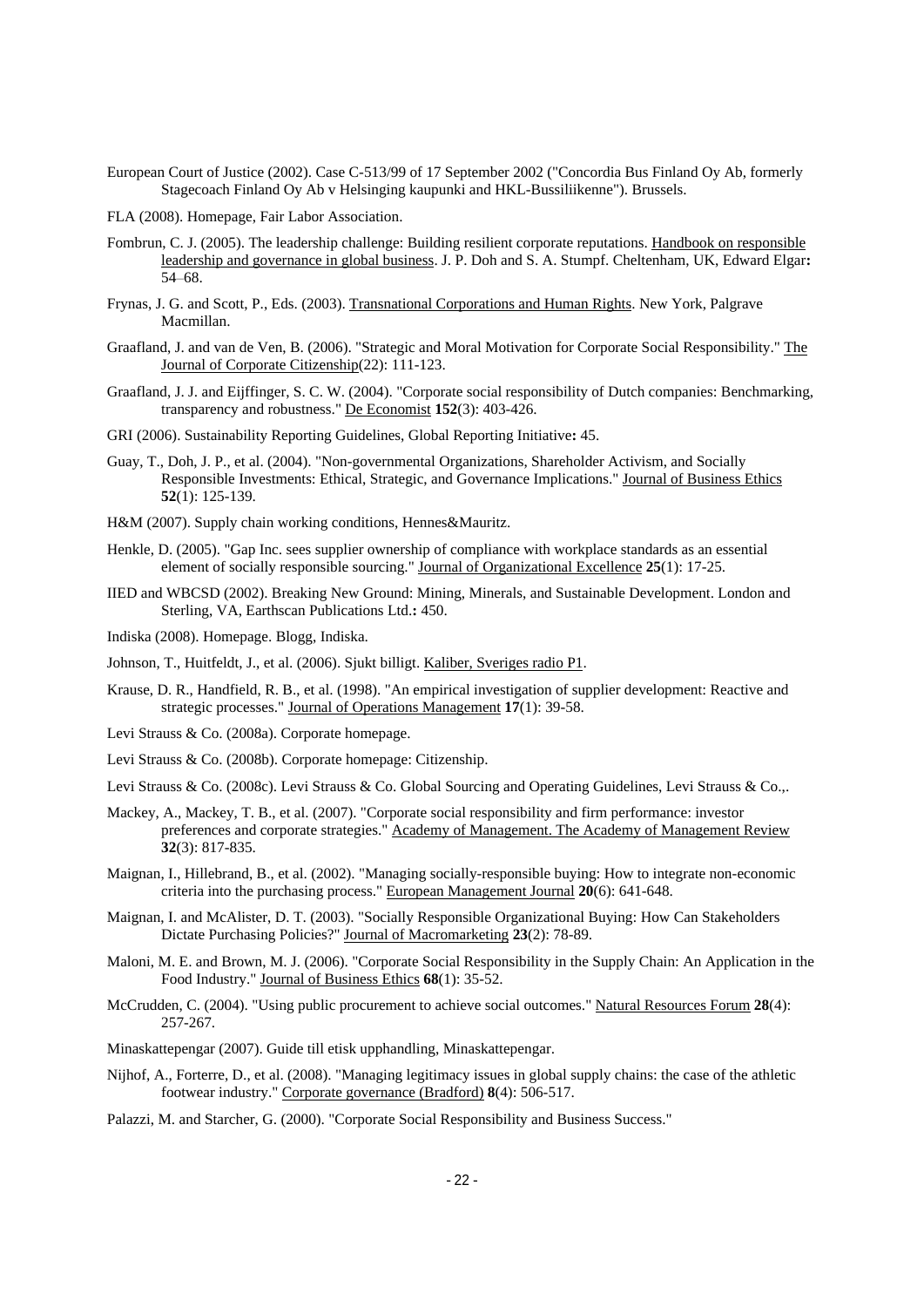- European Court of Justice (2002). Case C-513/99 of 17 September 2002 ("Concordia Bus Finland Oy Ab, formerly Stagecoach Finland Oy Ab v Helsinging kaupunki and HKL-Bussiliikenne"). Brussels.
- FLA (2008). Homepage, Fair Labor Association.
- Fombrun, C. J. (2005). The leadership challenge: Building resilient corporate reputations. Handbook on responsible leadership and governance in global business. J. P. Doh and S. A. Stumpf. Cheltenham, UK, Edward Elgar**:**  54 68.
- Frynas, J. G. and Scott, P., Eds. (2003). Transnational Corporations and Human Rights. New York, Palgrave Macmillan. **Macmillan.**
- Graafland, J. and van de Ven, B. (2006). "Strategic and Moral Motivation for Corporate Social Responsibility." The Journal of Corporate Citizenship(22): 111-123.
- Graafland, J. J. and Eijffinger, S. C. W. (2004). "Corporate social responsibility of Dutch companies: Benchmarking, transparency and robustness." De Economist **152**(3): 403-426.
- GRI (2006). Sustainability Reporting Guidelines, Global Reporting Initiative**:** 45.
- Guay, T., Doh, J. P., et al. (2004). "Non-governmental Organizations, Shareholder Activism, and Socially Responsible Investments: Ethical, Strategic, and Governance Implications." Journal of Business Ethics **52**(1): 125-139.
- H&M (2007). Supply chain working conditions, Hennes&Mauritz.
- Henkle, D. (2005). "Gap Inc. sees supplier ownership of compliance with workplace standards as an essential element of socially responsible sourcing." Journal of Organizational Excellence **25**(1): 17-25.
- IIED and WBCSD (2002). Breaking New Ground: Mining, Minerals, and Sustainable Development. London and Sterling, VA, Earthscan Publications Ltd.**:** 450.
- Indiska (2008). Homepage. Blogg, Indiska.
- Johnson, T., Huitfeldt, J., et al. (2006). Sjukt billigt. Kaliber, Sveriges radio P1.
- Krause, D. R., Handfield, R. B., et al. (1998). "An empirical investigation of supplier development: Reactive and strategic processes." Journal of Operations Management **17**(1): 39-58.
- Levi Strauss & Co. (2008a). Corporate homepage.
- Levi Strauss & Co. (2008b). Corporate homepage: Citizenship.

Levi Strauss & Co. (2008c). Levi Strauss & Co. Global Sourcing and Operating Guidelines, Levi Strauss & Co.,.

- Mackey, A., Mackey, T. B., et al. (2007). "Corporate social responsibility and firm performance: investor preferences and corporate strategies." Academy of Management. The Academy of Management Review 32(3): 817-835. **32**(3): 817-835.
- Maignan, I., Hillebrand, B., et al. (2002). "Managing socially-responsible buying: How to integrate non-economic criteria into the purchasing process." European Management Journal **20**(6): 641-648.
- Maignan, I. and McAlister, D. T. (2003). "Socially Responsible Organizational Buying: How Can Stakeholders Dictate Purchasing Policies?" Journal of Macromarketing **23**(2): 78-89.
- Maloni, M. E. and Brown, M. J. (2006). "Corporate Social Responsibility in the Supply Chain: An Application in the Food Industry." Journal of Business Ethics **68**(1): 35-52.
- McCrudden, C. (2004). "Using public procurement to achieve social outcomes." Natural Resources Forum **28**(4): 257-267.
- Minaskattepengar (2007). Guide till etisk upphandling, Minaskattepengar.
- Nijhof, A., Forterre, D., et al. (2008). "Managing legitimacy issues in global supply chains: the case of the athletic footwear industry." Corporate governance (Bradford) **8**(4): 506-517.
- Palazzi, M. and Starcher, G. (2000). "Corporate Social Responsibility and Business Success."